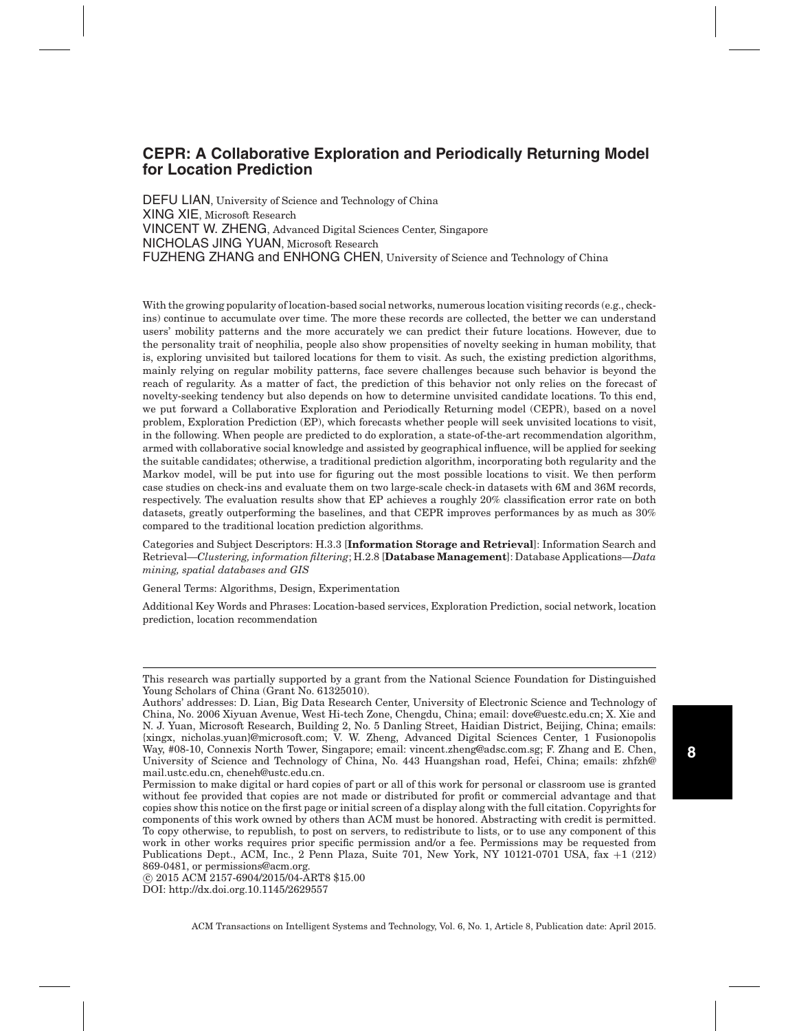DEFU LIAN, University of Science and Technology of China XING XIE, Microsoft Research VINCENT W. ZHENG, Advanced Digital Sciences Center, Singapore NICHOLAS JING YUAN, Microsoft Research FUZHENG ZHANG and ENHONG CHEN, University of Science and Technology of China

With the growing popularity of location-based social networks, numerous location visiting records (e.g., checkins) continue to accumulate over time. The more these records are collected, the better we can understand users' mobility patterns and the more accurately we can predict their future locations. However, due to the personality trait of neophilia, people also show propensities of novelty seeking in human mobility, that is, exploring unvisited but tailored locations for them to visit. As such, the existing prediction algorithms, mainly relying on regular mobility patterns, face severe challenges because such behavior is beyond the reach of regularity. As a matter of fact, the prediction of this behavior not only relies on the forecast of novelty-seeking tendency but also depends on how to determine unvisited candidate locations. To this end, we put forward a Collaborative Exploration and Periodically Returning model (CEPR), based on a novel problem, Exploration Prediction (EP), which forecasts whether people will seek unvisited locations to visit, in the following. When people are predicted to do exploration, a state-of-the-art recommendation algorithm, armed with collaborative social knowledge and assisted by geographical influence, will be applied for seeking the suitable candidates; otherwise, a traditional prediction algorithm, incorporating both regularity and the Markov model, will be put into use for figuring out the most possible locations to visit. We then perform case studies on check-ins and evaluate them on two large-scale check-in datasets with 6M and 36M records, respectively. The evaluation results show that EP achieves a roughly 20% classification error rate on both datasets, greatly outperforming the baselines, and that CEPR improves performances by as much as 30% compared to the traditional location prediction algorithms.

Categories and Subject Descriptors: H.3.3 [**Information Storage and Retrieval**]: Information Search and Retrieval—*Clustering, information filtering*; H.2.8 [**Database Management**]: Database Applications—*Data mining, spatial databases and GIS*

General Terms: Algorithms, Design, Experimentation

Additional Key Words and Phrases: Location-based services, Exploration Prediction, social network, location prediction, location recommendation

-c 2015 ACM 2157-6904/2015/04-ART8 \$15.00 DOI:<http://dx.doi.org.10.1145/2629557>

This research was partially supported by a grant from the National Science Foundation for Distinguished Young Scholars of China (Grant No. 61325010).

Authors' addresses: D. Lian, Big Data Research Center, University of Electronic Science and Technology of China, No. 2006 Xiyuan Avenue, West Hi-tech Zone, Chengdu, China; email: dove@uestc.edu.cn; X. Xie and N. J. Yuan, Microsoft Research, Building 2, No. 5 Danling Street, Haidian District, Beijing, China; emails: {xingx, nicholas.yuan}@microsoft.com; V. W. Zheng, Advanced Digital Sciences Center, 1 Fusionopolis Way, #08-10, Connexis North Tower, Singapore; email: vincent.zheng@adsc.com.sg; F. Zhang and E. Chen, University of Science and Technology of China, No. 443 Huangshan road, Hefei, China; emails: zhfzh@ mail.ustc.edu.cn, cheneh@ustc.edu.cn.

Permission to make digital or hard copies of part or all of this work for personal or classroom use is granted without fee provided that copies are not made or distributed for profit or commercial advantage and that copies show this notice on the first page or initial screen of a display along with the full citation. Copyrights for components of this work owned by others than ACM must be honored. Abstracting with credit is permitted. To copy otherwise, to republish, to post on servers, to redistribute to lists, or to use any component of this work in other works requires prior specific permission and/or a fee. Permissions may be requested from Publications Dept., ACM, Inc., 2 Penn Plaza, Suite 701, New York, NY 10121-0701 USA, fax +1 (212) 869-0481, or permissions@acm.org.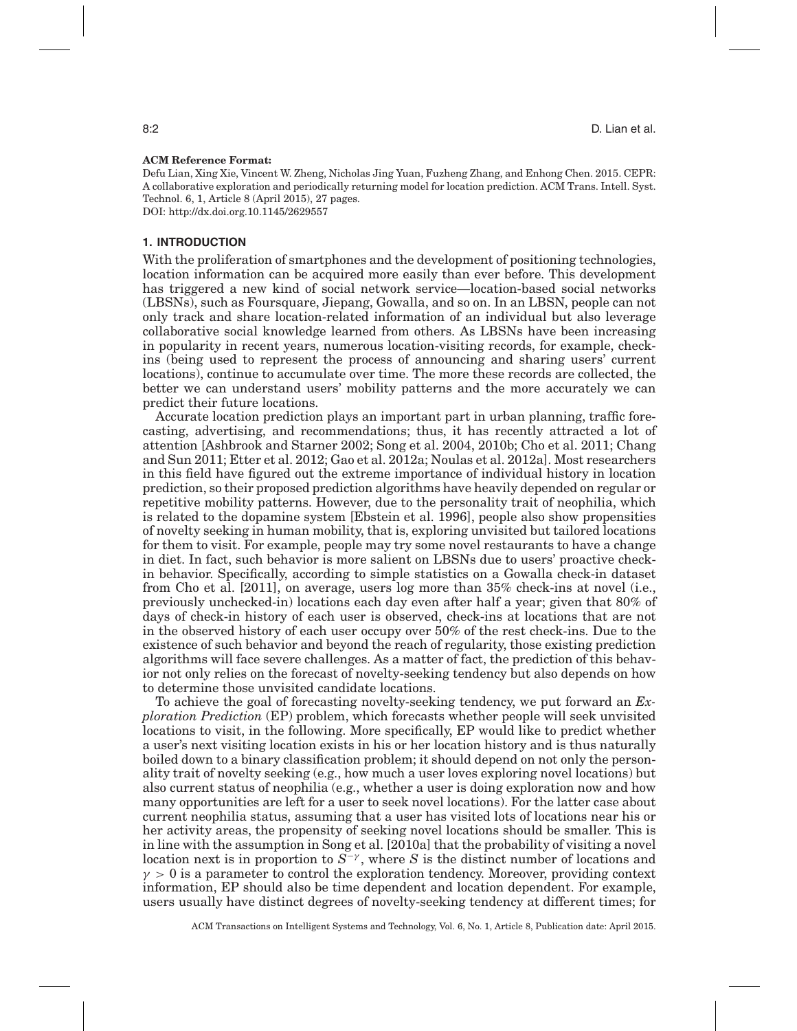#### **ACM Reference Format:**

Defu Lian, Xing Xie, Vincent W. Zheng, Nicholas Jing Yuan, Fuzheng Zhang, and Enhong Chen. 2015. CEPR: A collaborative exploration and periodically returning model for location prediction. ACM Trans. Intell. Syst. Technol. 6, 1, Article 8 (April 2015), 27 pages. DOI:<http://dx.doi.org.10.1145/2629557>

**1. INTRODUCTION**

With the proliferation of smartphones and the development of positioning technologies, location information can be acquired more easily than ever before. This development has triggered a new kind of social network service—location-based social networks (LBSNs), such as Foursquare, Jiepang, Gowalla, and so on. In an LBSN, people can not only track and share location-related information of an individual but also leverage collaborative social knowledge learned from others. As LBSNs have been increasing in popularity in recent years, numerous location-visiting records, for example, checkins (being used to represent the process of announcing and sharing users' current locations), continue to accumulate over time. The more these records are collected, the better we can understand users' mobility patterns and the more accurately we can predict their future locations.

Accurate location prediction plays an important part in urban planning, traffic forecasting, advertising, and recommendations; thus, it has recently attracted a lot of attention [Ashbrook and Starner [2002;](#page-25-0) Song et al. [2004,](#page-26-0) [2010b;](#page-26-1) Cho et al. [2011;](#page-25-1) Chang and Sun [2011;](#page-25-2) Etter et al. [2012;](#page-25-3) Gao et al. [2012a;](#page-25-4) Noulas et al. [2012a\]](#page-26-2). Most researchers in this field have figured out the extreme importance of individual history in location prediction, so their proposed prediction algorithms have heavily depended on regular or repetitive mobility patterns. However, due to the personality trait of neophilia, which is related to the dopamine system [Ebstein et al. [1996\]](#page-25-5), people also show propensities of novelty seeking in human mobility, that is, exploring unvisited but tailored locations for them to visit. For example, people may try some novel restaurants to have a change in diet. In fact, such behavior is more salient on LBSNs due to users' proactive checkin behavior. Specifically, according to simple statistics on a Gowalla check-in dataset from Cho et al. [\[2011\]](#page-25-1), on average, users log more than 35% check-ins at novel (i.e., previously unchecked-in) locations each day even after half a year; given that 80% of days of check-in history of each user is observed, check-ins at locations that are not in the observed history of each user occupy over 50% of the rest check-ins. Due to the existence of such behavior and beyond the reach of regularity, those existing prediction algorithms will face severe challenges. As a matter of fact, the prediction of this behavior not only relies on the forecast of novelty-seeking tendency but also depends on how to determine those unvisited candidate locations.

To achieve the goal of forecasting novelty-seeking tendency, we put forward an *Exploration Prediction* (EP) problem, which forecasts whether people will seek unvisited locations to visit, in the following. More specifically, EP would like to predict whether a user's next visiting location exists in his or her location history and is thus naturally boiled down to a binary classification problem; it should depend on not only the personality trait of novelty seeking (e.g., how much a user loves exploring novel locations) but also current status of neophilia (e.g., whether a user is doing exploration now and how many opportunities are left for a user to seek novel locations). For the latter case about current neophilia status, assuming that a user has visited lots of locations near his or her activity areas, the propensity of seeking novel locations should be smaller. This is in line with the assumption in Song et al. [\[2010a\]](#page-26-3) that the probability of visiting a novel location next is in proportion to *S*<sup>−</sup><sup>γ</sup> , where *S* is the distinct number of locations and  $\gamma > 0$  is a parameter to control the exploration tendency. Moreover, providing context information, EP should also be time dependent and location dependent. For example, users usually have distinct degrees of novelty-seeking tendency at different times; for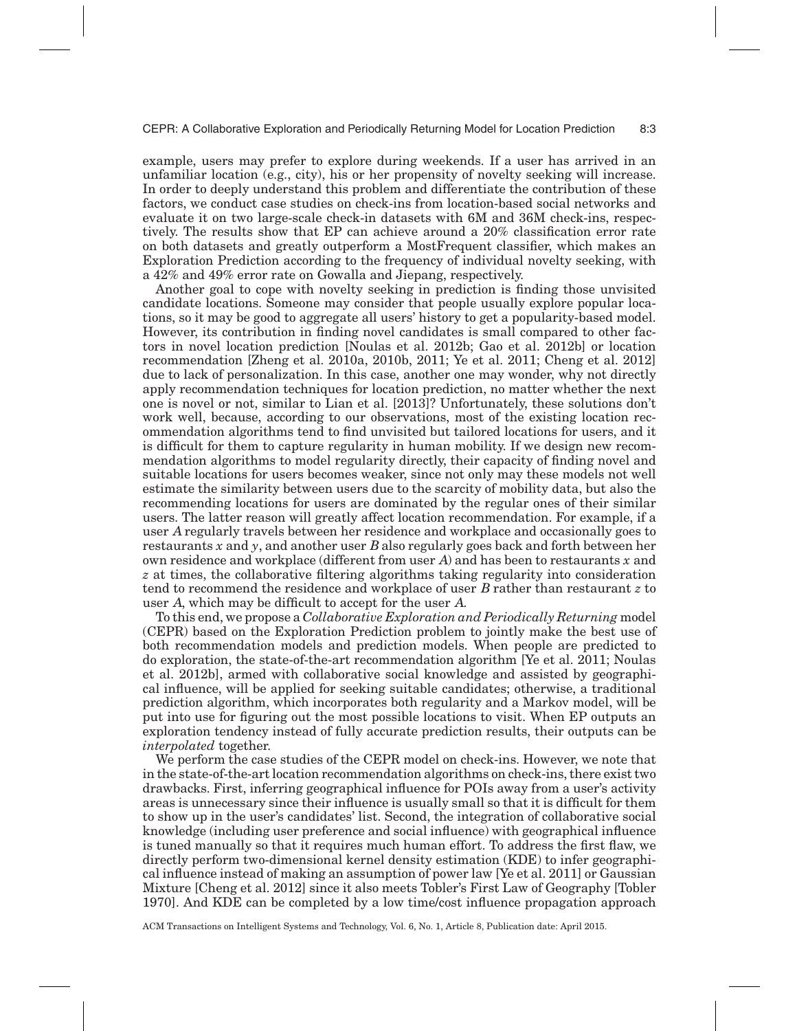example, users may prefer to explore during weekends. If a user has arrived in an unfamiliar location (e.g., city), his or her propensity of novelty seeking will increase. In order to deeply understand this problem and differentiate the contribution of these factors, we conduct case studies on check-ins from location-based social networks and evaluate it on two large-scale check-in datasets with 6M and 36M check-ins, respectively. The results show that EP can achieve around a 20% classification error rate on both datasets and greatly outperform a MostFrequent classifier, which makes an Exploration Prediction according to the frequency of individual novelty seeking, with a 42% and 49% error rate on Gowalla and Jiepang, respectively.

Another goal to cope with novelty seeking in prediction is finding those unvisited candidate locations. Someone may consider that people usually explore popular locations, so it may be good to aggregate all users' history to get a popularity-based model. However, its contribution in finding novel candidates is small compared to other factors in novel location prediction [Noulas et al. [2012b;](#page-26-4) Gao et al. [2012b\]](#page-25-6) or location recommendation [Zheng et al. [2010a,](#page-26-5) [2010b,](#page-26-6) [2011;](#page-26-7) Ye et al. [2011;](#page-26-8) Cheng et al. [2012\]](#page-25-7) due to lack of personalization. In this case, another one may wonder, why not directly apply recommendation techniques for location prediction, no matter whether the next one is novel or not, similar to Lian et al. [\[2013\]](#page-25-8)? Unfortunately, these solutions don't work well, because, according to our observations, most of the existing location recommendation algorithms tend to find unvisited but tailored locations for users, and it is difficult for them to capture regularity in human mobility. If we design new recommendation algorithms to model regularity directly, their capacity of finding novel and suitable locations for users becomes weaker, since not only may these models not well estimate the similarity between users due to the scarcity of mobility data, but also the recommending locations for users are dominated by the regular ones of their similar users. The latter reason will greatly affect location recommendation. For example, if a user *A* regularly travels between her residence and workplace and occasionally goes to restaurants *x* and *y*, and another user *B*also regularly goes back and forth between her own residence and workplace (different from user *A*) and has been to restaurants *x* and *z* at times, the collaborative filtering algorithms taking regularity into consideration tend to recommend the residence and workplace of user *B* rather than restaurant *z* to user *A*, which may be difficult to accept for the user *A*.

To this end, we propose a *Collaborative Exploration and Periodically Returning* model (CEPR) based on the Exploration Prediction problem to jointly make the best use of both recommendation models and prediction models. When people are predicted to do exploration, the state-of-the-art recommendation algorithm [Ye et al. [2011;](#page-26-8) Noulas et al. [2012b\]](#page-26-4), armed with collaborative social knowledge and assisted by geographical influence, will be applied for seeking suitable candidates; otherwise, a traditional prediction algorithm, which incorporates both regularity and a Markov model, will be put into use for figuring out the most possible locations to visit. When EP outputs an exploration tendency instead of fully accurate prediction results, their outputs can be *interpolated* together.

We perform the case studies of the CEPR model on check-ins. However, we note that in the state-of-the-art location recommendation algorithms on check-ins, there exist two drawbacks. First, inferring geographical influence for POIs away from a user's activity areas is unnecessary since their influence is usually small so that it is difficult for them to show up in the user's candidates' list. Second, the integration of collaborative social knowledge (including user preference and social influence) with geographical influence is tuned manually so that it requires much human effort. To address the first flaw, we directly perform two-dimensional kernel density estimation (KDE) to infer geographical influence instead of making an assumption of power law [Ye et al. [2011\]](#page-26-8) or Gaussian Mixture [Cheng et al. [2012\]](#page-25-7) since it also meets Tobler's First Law of Geography [Tobler [1970\]](#page-26-9). And KDE can be completed by a low time/cost influence propagation approach

ACM Transactions on Intelligent Systems and Technology, Vol. 6, No. 1, Article 8, Publication date: April 2015.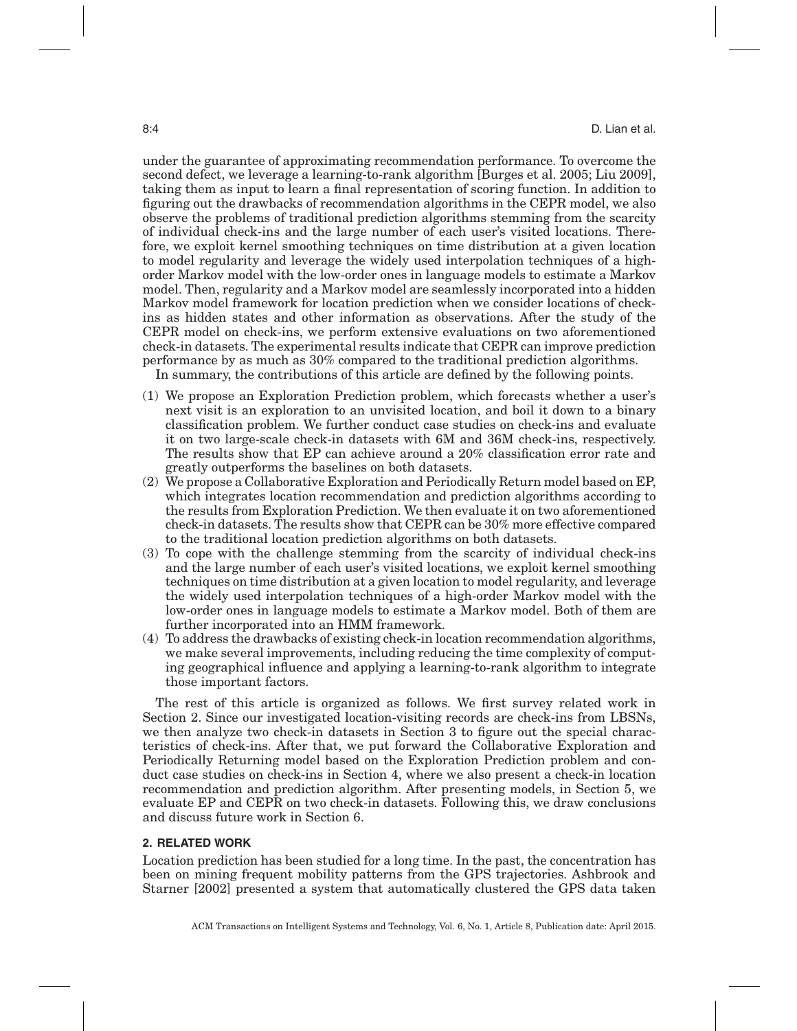under the guarantee of approximating recommendation performance. To overcome the second defect, we leverage a learning-to-rank algorithm [Burges et al. [2005;](#page-25-9) Liu [2009\]](#page-25-10), taking them as input to learn a final representation of scoring function. In addition to figuring out the drawbacks of recommendation algorithms in the CEPR model, we also observe the problems of traditional prediction algorithms stemming from the scarcity of individual check-ins and the large number of each user's visited locations. Therefore, we exploit kernel smoothing techniques on time distribution at a given location to model regularity and leverage the widely used interpolation techniques of a highorder Markov model with the low-order ones in language models to estimate a Markov model. Then, regularity and a Markov model are seamlessly incorporated into a hidden Markov model framework for location prediction when we consider locations of checkins as hidden states and other information as observations. After the study of the CEPR model on check-ins, we perform extensive evaluations on two aforementioned check-in datasets. The experimental results indicate that CEPR can improve prediction performance by as much as 30% compared to the traditional prediction algorithms.

In summary, the contributions of this article are defined by the following points.

- (1) We propose an Exploration Prediction problem, which forecasts whether a user's next visit is an exploration to an unvisited location, and boil it down to a binary classification problem. We further conduct case studies on check-ins and evaluate it on two large-scale check-in datasets with 6M and 36M check-ins, respectively. The results show that EP can achieve around a 20% classification error rate and greatly outperforms the baselines on both datasets.
- (2) We propose a Collaborative Exploration and Periodically Return model based on EP, which integrates location recommendation and prediction algorithms according to the results from Exploration Prediction. We then evaluate it on two aforementioned check-in datasets. The results show that CEPR can be 30% more effective compared to the traditional location prediction algorithms on both datasets.
- (3) To cope with the challenge stemming from the scarcity of individual check-ins and the large number of each user's visited locations, we exploit kernel smoothing techniques on time distribution at a given location to model regularity, and leverage the widely used interpolation techniques of a high-order Markov model with the low-order ones in language models to estimate a Markov model. Both of them are further incorporated into an HMM framework.
- (4) To address the drawbacks of existing check-in location recommendation algorithms, we make several improvements, including reducing the time complexity of computing geographical influence and applying a learning-to-rank algorithm to integrate those important factors.

The rest of this article is organized as follows. We first survey related work in Section [2.](#page-3-0) Since our investigated location-visiting records are check-ins from LBSNs, we then analyze two check-in datasets in Section [3](#page-5-0) to figure out the special characteristics of check-ins. After that, we put forward the Collaborative Exploration and Periodically Returning model based on the Exploration Prediction problem and conduct case studies on check-ins in Section [4,](#page-10-0) where we also present a check-in location recommendation and prediction algorithm. After presenting models, in Section [5,](#page-19-0) we evaluate EP and CEPR on two check-in datasets. Following this, we draw conclusions and discuss future work in Section [6.](#page-24-0)

# **2. RELATED WORK**

<span id="page-3-0"></span>Location prediction has been studied for a long time. In the past, the concentration has been on mining frequent mobility patterns from the GPS trajectories. Ashbrook and Starner [\[2002\]](#page-25-0) presented a system that automatically clustered the GPS data taken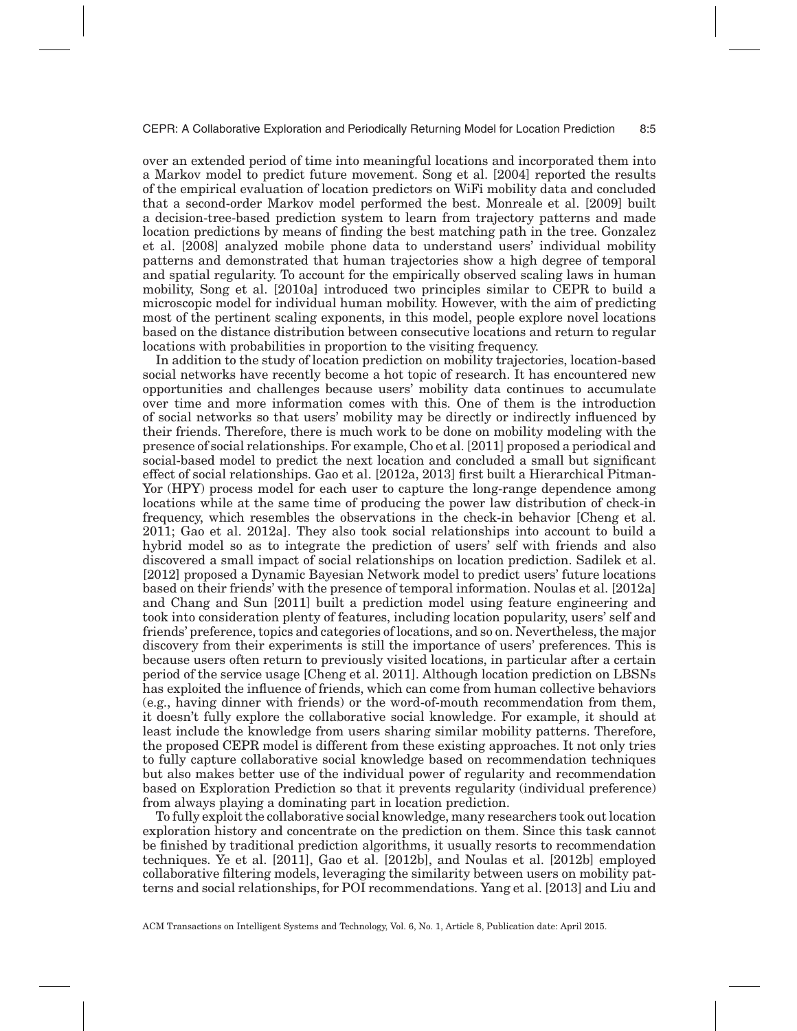over an extended period of time into meaningful locations and incorporated them into a Markov model to predict future movement. Song et al. [\[2004\]](#page-26-0) reported the results of the empirical evaluation of location predictors on WiFi mobility data and concluded that a second-order Markov model performed the best. Monreale et al. [\[2009\]](#page-26-10) built a decision-tree-based prediction system to learn from trajectory patterns and made location predictions by means of finding the best matching path in the tree. Gonzalez et al. [\[2008\]](#page-25-11) analyzed mobile phone data to understand users' individual mobility patterns and demonstrated that human trajectories show a high degree of temporal and spatial regularity. To account for the empirically observed scaling laws in human mobility, Song et al. [\[2010a\]](#page-26-3) introduced two principles similar to CEPR to build a microscopic model for individual human mobility. However, with the aim of predicting most of the pertinent scaling exponents, in this model, people explore novel locations based on the distance distribution between consecutive locations and return to regular locations with probabilities in proportion to the visiting frequency.

In addition to the study of location prediction on mobility trajectories, location-based social networks have recently become a hot topic of research. It has encountered new opportunities and challenges because users' mobility data continues to accumulate over time and more information comes with this. One of them is the introduction of social networks so that users' mobility may be directly or indirectly influenced by their friends. Therefore, there is much work to be done on mobility modeling with the presence of social relationships. For example, Cho et al. [\[2011\]](#page-25-1) proposed a periodical and social-based model to predict the next location and concluded a small but significant effect of social relationships. Gao et al. [\[2012a,](#page-25-4) [2013\]](#page-25-12) first built a Hierarchical Pitman-Yor (HPY) process model for each user to capture the long-range dependence among locations while at the same time of producing the power law distribution of check-in frequency, which resembles the observations in the check-in behavior [Cheng et al. [2011;](#page-25-13) Gao et al. [2012a\]](#page-25-4). They also took social relationships into account to build a hybrid model so as to integrate the prediction of users' self with friends and also discovered a small impact of social relationships on location prediction. Sadilek et al. [\[2012\]](#page-26-11) proposed a Dynamic Bayesian Network model to predict users' future locations based on their friends' with the presence of temporal information. Noulas et al. [\[2012a\]](#page-26-2) and Chang and Sun [\[2011\]](#page-25-2) built a prediction model using feature engineering and took into consideration plenty of features, including location popularity, users' self and friends' preference, topics and categories of locations, and so on. Nevertheless, the major discovery from their experiments is still the importance of users' preferences. This is because users often return to previously visited locations, in particular after a certain period of the service usage [Cheng et al. [2011\]](#page-25-13). Although location prediction on LBSNs has exploited the influence of friends, which can come from human collective behaviors (e.g., having dinner with friends) or the word-of-mouth recommendation from them, it doesn't fully explore the collaborative social knowledge. For example, it should at least include the knowledge from users sharing similar mobility patterns. Therefore, the proposed CEPR model is different from these existing approaches. It not only tries to fully capture collaborative social knowledge based on recommendation techniques but also makes better use of the individual power of regularity and recommendation based on Exploration Prediction so that it prevents regularity (individual preference) from always playing a dominating part in location prediction.

To fully exploit the collaborative social knowledge, many researchers took out location exploration history and concentrate on the prediction on them. Since this task cannot be finished by traditional prediction algorithms, it usually resorts to recommendation techniques. Ye et al. [\[2011\]](#page-26-8), Gao et al. [\[2012b\]](#page-25-6), and Noulas et al. [\[2012b\]](#page-26-4) employed collaborative filtering models, leveraging the similarity between users on mobility patterns and social relationships, for POI recommendations. Yang et al. [\[2013\]](#page-26-12) and Liu and

ACM Transactions on Intelligent Systems and Technology, Vol. 6, No. 1, Article 8, Publication date: April 2015.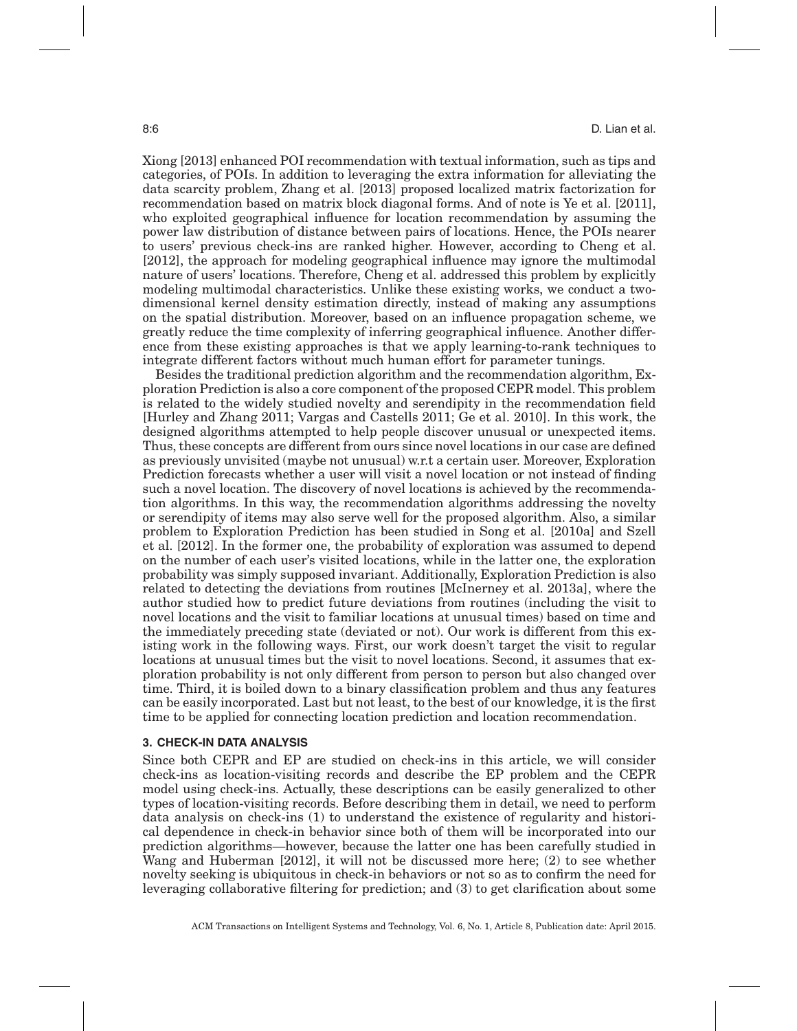Xiong [\[2013\]](#page-25-14) enhanced POI recommendation with textual information, such as tips and categories, of POIs. In addition to leveraging the extra information for alleviating the data scarcity problem, Zhang et al. [\[2013\]](#page-26-13) proposed localized matrix factorization for recommendation based on matrix block diagonal forms. And of note is Ye et al. [\[2011\]](#page-26-8), who exploited geographical influence for location recommendation by assuming the power law distribution of distance between pairs of locations. Hence, the POIs nearer to users' previous check-ins are ranked higher. However, according to Cheng et al. [\[2012\]](#page-25-7), the approach for modeling geographical influence may ignore the multimodal nature of users' locations. Therefore, Cheng et al. addressed this problem by explicitly modeling multimodal characteristics. Unlike these existing works, we conduct a twodimensional kernel density estimation directly, instead of making any assumptions on the spatial distribution. Moreover, based on an influence propagation scheme, we greatly reduce the time complexity of inferring geographical influence. Another difference from these existing approaches is that we apply learning-to-rank techniques to integrate different factors without much human effort for parameter tunings.

Besides the traditional prediction algorithm and the recommendation algorithm, Exploration Prediction is also a core component of the proposed CEPR model. This problem is related to the widely studied novelty and serendipity in the recommendation field [Hurley and Zhang [2011;](#page-25-15) Vargas and Castells [2011;](#page-26-14) Ge et al. [2010\]](#page-25-16). In this work, the designed algorithms attempted to help people discover unusual or unexpected items. Thus, these concepts are different from ours since novel locations in our case are defined as previously unvisited (maybe not unusual) w.r.t a certain user. Moreover, Exploration Prediction forecasts whether a user will visit a novel location or not instead of finding such a novel location. The discovery of novel locations is achieved by the recommendation algorithms. In this way, the recommendation algorithms addressing the novelty or serendipity of items may also serve well for the proposed algorithm. Also, a similar problem to Exploration Prediction has been studied in Song et al. [\[2010a\]](#page-26-3) and Szell et al. [\[2012\]](#page-26-15). In the former one, the probability of exploration was assumed to depend on the number of each user's visited locations, while in the latter one, the exploration probability was simply supposed invariant. Additionally, Exploration Prediction is also related to detecting the deviations from routines [McInerney et al. [2013a\]](#page-25-17), where the author studied how to predict future deviations from routines (including the visit to novel locations and the visit to familiar locations at unusual times) based on time and the immediately preceding state (deviated or not). Our work is different from this existing work in the following ways. First, our work doesn't target the visit to regular locations at unusual times but the visit to novel locations. Second, it assumes that exploration probability is not only different from person to person but also changed over time. Third, it is boiled down to a binary classification problem and thus any features can be easily incorporated. Last but not least, to the best of our knowledge, it is the first time to be applied for connecting location prediction and location recommendation.

#### **3. CHECK-IN DATA ANALYSIS**

<span id="page-5-0"></span>Since both CEPR and EP are studied on check-ins in this article, we will consider check-ins as location-visiting records and describe the EP problem and the CEPR model using check-ins. Actually, these descriptions can be easily generalized to other types of location-visiting records. Before describing them in detail, we need to perform data analysis on check-ins (1) to understand the existence of regularity and historical dependence in check-in behavior since both of them will be incorporated into our prediction algorithms—however, because the latter one has been carefully studied in Wang and Huberman [\[2012\]](#page-26-16), it will not be discussed more here; (2) to see whether novelty seeking is ubiquitous in check-in behaviors or not so as to confirm the need for leveraging collaborative filtering for prediction; and (3) to get clarification about some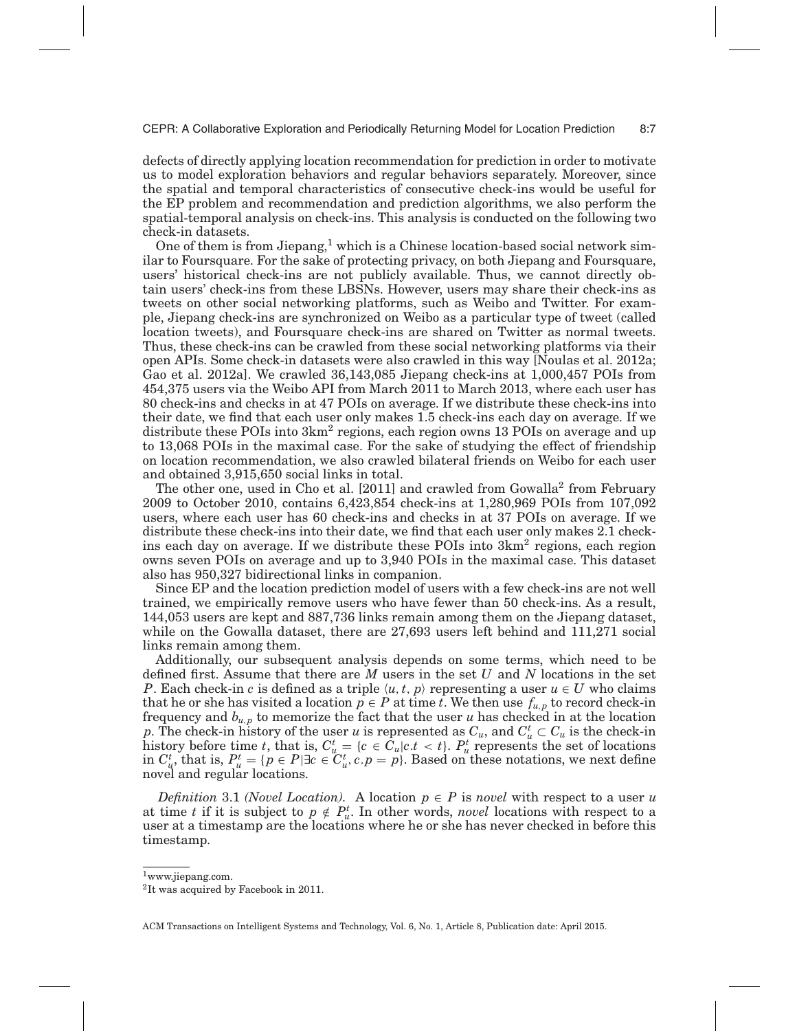defects of directly applying location recommendation for prediction in order to motivate us to model exploration behaviors and regular behaviors separately. Moreover, since the spatial and temporal characteristics of consecutive check-ins would be useful for the EP problem and recommendation and prediction algorithms, we also perform the spatial-temporal analysis on check-ins. This analysis is conducted on the following two check-in datasets.

One of them is from Jiepang, $<sup>1</sup>$  which is a Chinese location-based social network sim-</sup> ilar to Foursquare. For the sake of protecting privacy, on both Jiepang and Foursquare, users' historical check-ins are not publicly available. Thus, we cannot directly obtain users' check-ins from these LBSNs. However, users may share their check-ins as tweets on other social networking platforms, such as Weibo and Twitter. For example, Jiepang check-ins are synchronized on Weibo as a particular type of tweet (called location tweets), and Foursquare check-ins are shared on Twitter as normal tweets. Thus, these check-ins can be crawled from these social networking platforms via their open APIs. Some check-in datasets were also crawled in this way [Noulas et al. [2012a;](#page-26-2) Gao et al. [2012a\]](#page-25-4). We crawled 36,143,085 Jiepang check-ins at 1,000,457 POIs from 454,375 users via the Weibo API from March 2011 to March 2013, where each user has 80 check-ins and checks in at 47 POIs on average. If we distribute these check-ins into their date, we find that each user only makes 1.5 check-ins each day on average. If we distribute these POIs into  $3km^2$  regions, each region owns 13 POIs on average and up to 13,068 POIs in the maximal case. For the sake of studying the effect of friendship on location recommendation, we also crawled bilateral friends on Weibo for each user and obtained 3,915,650 social links in total.

The other one, used in Cho et al. [\[2011\]](#page-25-1) and crawled from Gowalla<sup>2</sup> from February 2009 to October 2010, contains 6,423,854 check-ins at 1,280,969 POIs from 107,092 users, where each user has 60 check-ins and checks in at 37 POIs on average. If we distribute these check-ins into their date, we find that each user only makes 2.1 checkins each day on average. If we distribute these POIs into 3km2 regions, each region owns seven POIs on average and up to 3,940 POIs in the maximal case. This dataset also has 950,327 bidirectional links in companion.

Since EP and the location prediction model of users with a few check-ins are not well trained, we empirically remove users who have fewer than 50 check-ins. As a result, 144,053 users are kept and 887,736 links remain among them on the Jiepang dataset, while on the Gowalla dataset, there are 27,693 users left behind and 111,271 social links remain among them.

Additionally, our subsequent analysis depends on some terms, which need to be defined first. Assume that there are *M* users in the set *U* and *N* locations in the set *P*. Each check-in *c* is defined as a triple  $\langle u, t, p \rangle$  representing a user  $u \in U$  who claims that he or she has visited a location  $p \in P$  at time *t*. We then use  $f_{u,p}$  to record check-in frequency and  $b_{u,p}$  to memorize the fact that the user *u* has checked in at the location *p*. The check-in history of the user *u* is represented as  $C_u$ , and  $C_u^t \subset C_u$  is the check-in history before time *t*, that is,  $C_u^t = \{c \in \overline{C}_u | c.t < t\}$ .  $P_u^t$  represents the set of locations  $\int u \, dv$ , that is,  $P_u^t = \{ p \in P | \exists c \in C_u^t, c.p = p \}.$  Based on these notations, we next define novel and regular locations.

*Definition* 3.1 *(Novel Location).* A location  $p \in P$  is *novel* with respect to a user *u* at time *t* if it is subject to  $p \notin P_u^t$ . In other words, *novel* locations with respect to a user at a timestamp are the locations where he or she has never checked in before this timestamp.

<span id="page-6-0"></span>[1www.jiepang.com.](file:www.jiepang.com)

<span id="page-6-1"></span><sup>&</sup>lt;sup>2</sup>It was acquired by Facebook in 2011.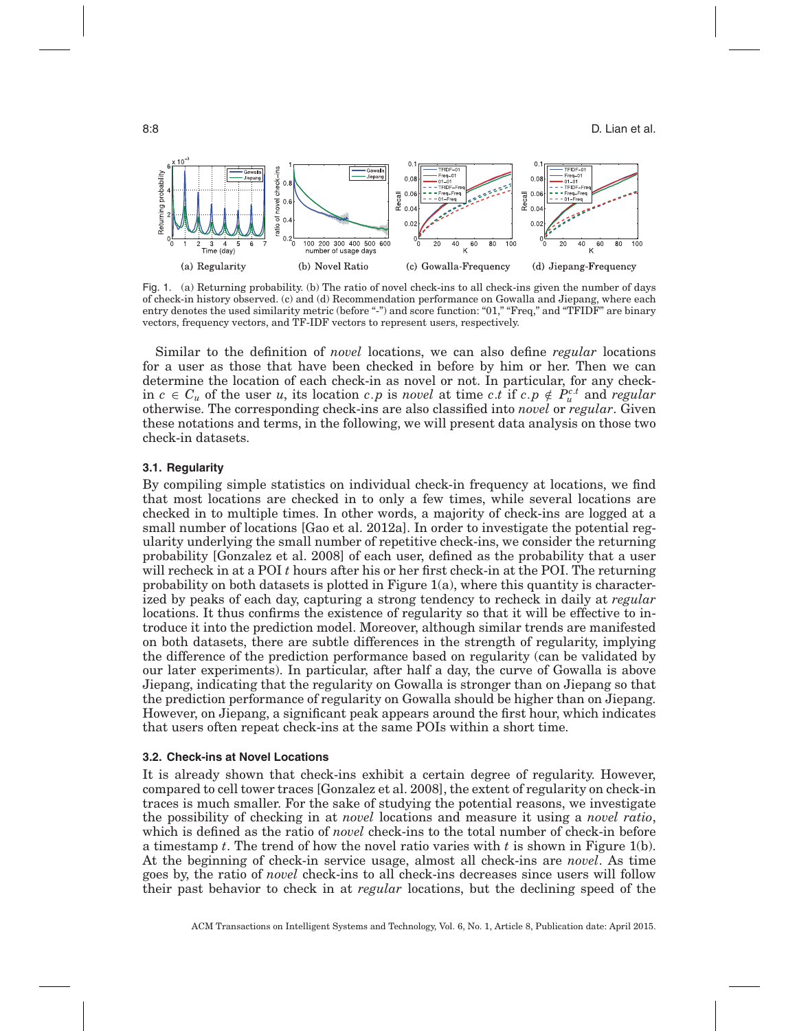<span id="page-7-0"></span>

Fig. 1. (a) Returning probability. (b) The ratio of novel check-ins to all check-ins given the number of days of check-in history observed. (c) and (d) Recommendation performance on Gowalla and Jiepang, where each entry denotes the used similarity metric (before "-") and score function: "01," "Freq," and "TFIDF" are binary vectors, frequency vectors, and TF-IDF vectors to represent users, respectively.

Similar to the definition of *novel* locations, we can also define *regular* locations for a user as those that have been checked in before by him or her. Then we can determine the location of each check-in as novel or not. In particular, for any checkin  $c \in C_u$  of the user *u*, its location *c*.*p* is *novel* at time *c*.*t* if  $c \cdot p \notin P_u^{ct}$  and *regular* otherwise. The corresponding check-ins are also classified into *novel* or *regular*. Given these notations and terms, in the following, we will present data analysis on those two check-in datasets.

#### **3.1. Regularity**

By compiling simple statistics on individual check-in frequency at locations, we find that most locations are checked in to only a few times, while several locations are checked in to multiple times. In other words, a majority of check-ins are logged at a small number of locations [Gao et al. [2012a\]](#page-25-4). In order to investigate the potential regularity underlying the small number of repetitive check-ins, we consider the returning probability [Gonzalez et al. [2008\]](#page-25-11) of each user, defined as the probability that a user will recheck in at a POI *t* hours after his or her first check-in at the POI. The returning probability on both datasets is plotted in Figure  $1(a)$ , where this quantity is characterized by peaks of each day, capturing a strong tendency to recheck in daily at *regular* locations. It thus confirms the existence of regularity so that it will be effective to introduce it into the prediction model. Moreover, although similar trends are manifested on both datasets, there are subtle differences in the strength of regularity, implying the difference of the prediction performance based on regularity (can be validated by our later experiments). In particular, after half a day, the curve of Gowalla is above Jiepang, indicating that the regularity on Gowalla is stronger than on Jiepang so that the prediction performance of regularity on Gowalla should be higher than on Jiepang. However, on Jiepang, a significant peak appears around the first hour, which indicates that users often repeat check-ins at the same POIs within a short time.

# **3.2. Check-ins at Novel Locations**

It is already shown that check-ins exhibit a certain degree of regularity. However, compared to cell tower traces [Gonzalez et al. [2008\]](#page-25-11), the extent of regularity on check-in traces is much smaller. For the sake of studying the potential reasons, we investigate the possibility of checking in at *novel* locations and measure it using a *novel ratio*, which is defined as the ratio of *novel* check-ins to the total number of check-in before a timestamp *t*. The trend of how the novel ratio varies with *t* is shown in Figure [1\(](#page-7-0)b). At the beginning of check-in service usage, almost all check-ins are *novel*. As time goes by, the ratio of *novel* check-ins to all check-ins decreases since users will follow their past behavior to check in at *regular* locations, but the declining speed of the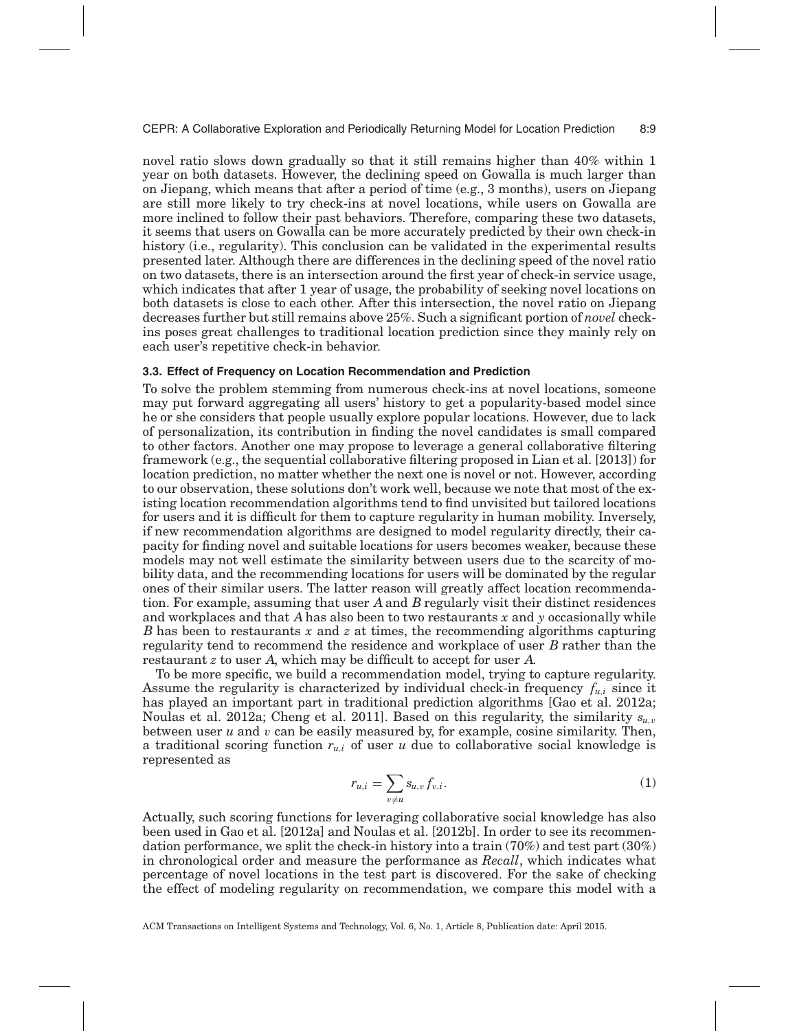novel ratio slows down gradually so that it still remains higher than 40% within 1 year on both datasets. However, the declining speed on Gowalla is much larger than on Jiepang, which means that after a period of time (e.g., 3 months), users on Jiepang are still more likely to try check-ins at novel locations, while users on Gowalla are more inclined to follow their past behaviors. Therefore, comparing these two datasets, it seems that users on Gowalla can be more accurately predicted by their own check-in history (i.e., regularity). This conclusion can be validated in the experimental results presented later. Although there are differences in the declining speed of the novel ratio on two datasets, there is an intersection around the first year of check-in service usage, which indicates that after 1 year of usage, the probability of seeking novel locations on both datasets is close to each other. After this intersection, the novel ratio on Jiepang decreases further but still remains above 25%. Such a significant portion of *novel* checkins poses great challenges to traditional location prediction since they mainly rely on each user's repetitive check-in behavior.

### **3.3. Effect of Frequency on Location Recommendation and Prediction**

To solve the problem stemming from numerous check-ins at novel locations, someone may put forward aggregating all users' history to get a popularity-based model since he or she considers that people usually explore popular locations. However, due to lack of personalization, its contribution in finding the novel candidates is small compared to other factors. Another one may propose to leverage a general collaborative filtering framework (e.g., the sequential collaborative filtering proposed in Lian et al. [\[2013\]](#page-25-8)) for location prediction, no matter whether the next one is novel or not. However, according to our observation, these solutions don't work well, because we note that most of the existing location recommendation algorithms tend to find unvisited but tailored locations for users and it is difficult for them to capture regularity in human mobility. Inversely, if new recommendation algorithms are designed to model regularity directly, their capacity for finding novel and suitable locations for users becomes weaker, because these models may not well estimate the similarity between users due to the scarcity of mobility data, and the recommending locations for users will be dominated by the regular ones of their similar users. The latter reason will greatly affect location recommendation. For example, assuming that user *A* and *B* regularly visit their distinct residences and workplaces and that *A* has also been to two restaurants *x* and *y* occasionally while *B* has been to restaurants *x* and *z* at times, the recommending algorithms capturing regularity tend to recommend the residence and workplace of user *B* rather than the restaurant *z* to user *A*, which may be difficult to accept for user *A*.

To be more specific, we build a recommendation model, trying to capture regularity. Assume the regularity is characterized by individual check-in frequency  $f_{u,i}$  since it has played an important part in traditional prediction algorithms [Gao et al. [2012a;](#page-25-4) Noulas et al. [2012a;](#page-26-2) Cheng et al. [2011\]](#page-25-13). Based on this regularity, the similarity  $s_{u,v}$ between user *u* and v can be easily measured by, for example, cosine similarity. Then, a traditional scoring function  $r_{u,i}$  of user *u* due to collaborative social knowledge is represented as

$$
r_{u,i} = \sum_{v \neq u} s_{u,v} f_{v,i}.\tag{1}
$$

Actually, such scoring functions for leveraging collaborative social knowledge has also been used in Gao et al. [\[2012a\]](#page-25-4) and Noulas et al. [\[2012b\]](#page-26-4). In order to see its recommendation performance, we split the check-in history into a train  $(70%)$  and test part  $(30%)$ in chronological order and measure the performance as *Recall*, which indicates what percentage of novel locations in the test part is discovered. For the sake of checking the effect of modeling regularity on recommendation, we compare this model with a

ACM Transactions on Intelligent Systems and Technology, Vol. 6, No. 1, Article 8, Publication date: April 2015.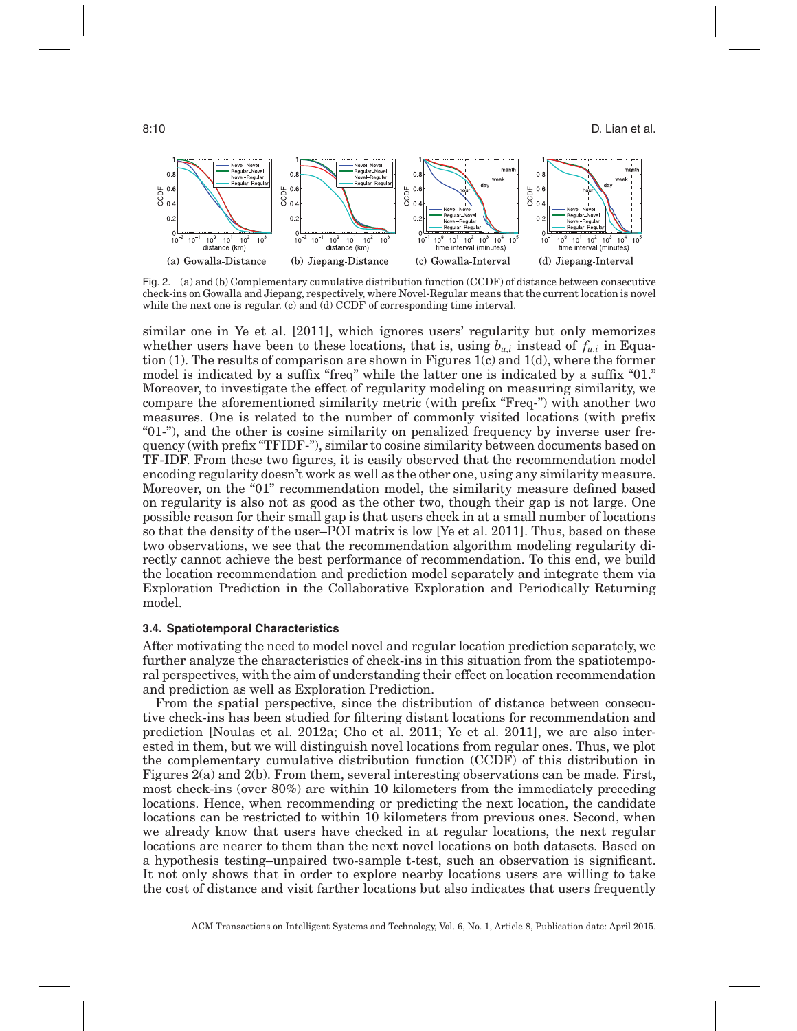8:10 D. Lian et al.

<span id="page-9-0"></span>

Fig. 2. (a) and (b) Complementary cumulative distribution function (CCDF) of distance between consecutive check-ins on Gowalla and Jiepang, respectively, where Novel-Regular means that the current location is novel while the next one is regular. (c) and (d) CCDF of corresponding time interval.

similar one in Ye et al. [\[2011\]](#page-26-8), which ignores users' regularity but only memorizes whether users have been to these locations, that is, using  $b_{\mu,i}$  instead of  $f_{\mu,i}$  in Equation (1). The results of comparison are shown in Figures [1\(](#page-7-0)c) and [1\(](#page-7-0)d), where the former model is indicated by a suffix "freq" while the latter one is indicated by a suffix "01." Moreover, to investigate the effect of regularity modeling on measuring similarity, we compare the aforementioned similarity metric (with prefix "Freq-") with another two measures. One is related to the number of commonly visited locations (with prefix "01-"), and the other is cosine similarity on penalized frequency by inverse user frequency (with prefix "TFIDF-"), similar to cosine similarity between documents based on TF-IDF. From these two figures, it is easily observed that the recommendation model encoding regularity doesn't work as well as the other one, using any similarity measure. Moreover, on the "01" recommendation model, the similarity measure defined based on regularity is also not as good as the other two, though their gap is not large. One possible reason for their small gap is that users check in at a small number of locations so that the density of the user–POI matrix is low [Ye et al. [2011\]](#page-26-8). Thus, based on these two observations, we see that the recommendation algorithm modeling regularity directly cannot achieve the best performance of recommendation. To this end, we build the location recommendation and prediction model separately and integrate them via Exploration Prediction in the Collaborative Exploration and Periodically Returning model.

#### **3.4. Spatiotemporal Characteristics**

After motivating the need to model novel and regular location prediction separately, we further analyze the characteristics of check-ins in this situation from the spatiotemporal perspectives, with the aim of understanding their effect on location recommendation and prediction as well as Exploration Prediction.

From the spatial perspective, since the distribution of distance between consecutive check-ins has been studied for filtering distant locations for recommendation and prediction [Noulas et al. [2012a;](#page-26-2) Cho et al. [2011;](#page-25-1) Ye et al. [2011\]](#page-26-8), we are also interested in them, but we will distinguish novel locations from regular ones. Thus, we plot the complementary cumulative distribution function (CCDF) of this distribution in Figures [2\(](#page-9-0)a) and [2\(](#page-9-0)b). From them, several interesting observations can be made. First, most check-ins (over 80%) are within 10 kilometers from the immediately preceding locations. Hence, when recommending or predicting the next location, the candidate locations can be restricted to within 10 kilometers from previous ones. Second, when we already know that users have checked in at regular locations, the next regular locations are nearer to them than the next novel locations on both datasets. Based on a hypothesis testing–unpaired two-sample t-test, such an observation is significant. It not only shows that in order to explore nearby locations users are willing to take the cost of distance and visit farther locations but also indicates that users frequently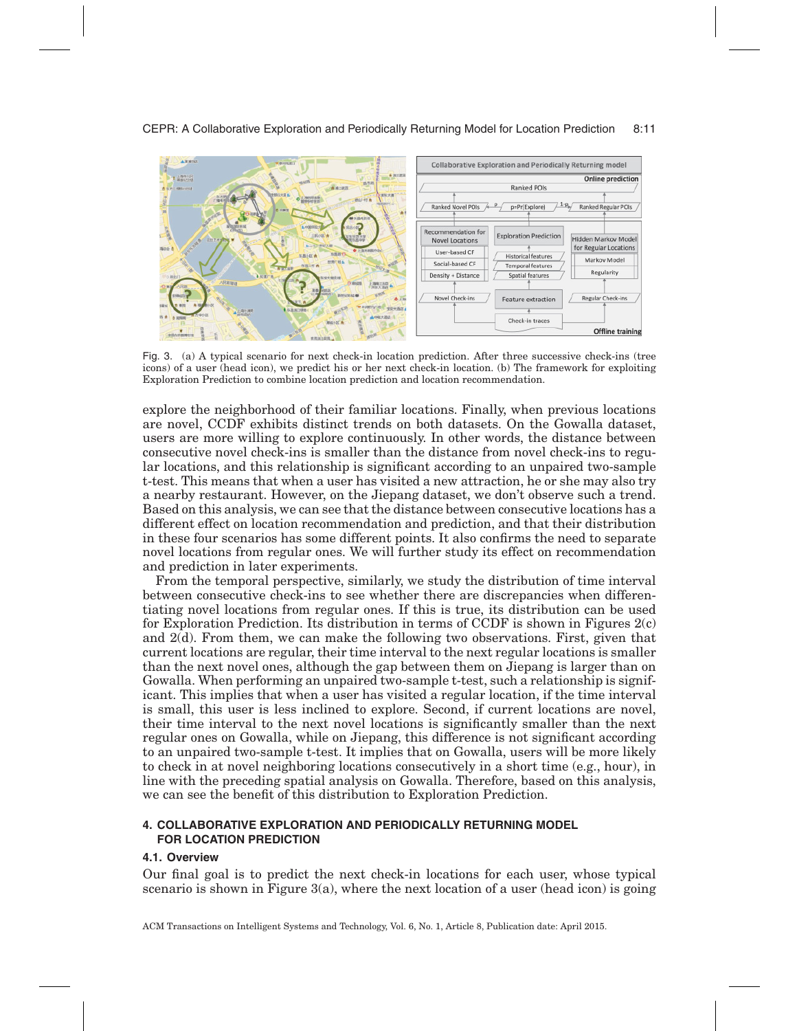<span id="page-10-1"></span>

Fig. 3. (a) A typical scenario for next check-in location prediction. After three successive check-ins (tree icons) of a user (head icon), we predict his or her next check-in location. (b) The framework for exploiting Exploration Prediction to combine location prediction and location recommendation.

explore the neighborhood of their familiar locations. Finally, when previous locations are novel, CCDF exhibits distinct trends on both datasets. On the Gowalla dataset, users are more willing to explore continuously. In other words, the distance between consecutive novel check-ins is smaller than the distance from novel check-ins to regular locations, and this relationship is significant according to an unpaired two-sample t-test. This means that when a user has visited a new attraction, he or she may also try a nearby restaurant. However, on the Jiepang dataset, we don't observe such a trend. Based on this analysis, we can see that the distance between consecutive locations has a different effect on location recommendation and prediction, and that their distribution in these four scenarios has some different points. It also confirms the need to separate novel locations from regular ones. We will further study its effect on recommendation and prediction in later experiments.

From the temporal perspective, similarly, we study the distribution of time interval between consecutive check-ins to see whether there are discrepancies when differentiating novel locations from regular ones. If this is true, its distribution can be used for Exploration Prediction. Its distribution in terms of CCDF is shown in Figures [2\(](#page-9-0)c) and [2\(](#page-9-0)d). From them, we can make the following two observations. First, given that current locations are regular, their time interval to the next regular locations is smaller than the next novel ones, although the gap between them on Jiepang is larger than on Gowalla. When performing an unpaired two-sample t-test, such a relationship is significant. This implies that when a user has visited a regular location, if the time interval is small, this user is less inclined to explore. Second, if current locations are novel, their time interval to the next novel locations is significantly smaller than the next regular ones on Gowalla, while on Jiepang, this difference is not significant according to an unpaired two-sample t-test. It implies that on Gowalla, users will be more likely to check in at novel neighboring locations consecutively in a short time (e.g., hour), in line with the preceding spatial analysis on Gowalla. Therefore, based on this analysis, we can see the benefit of this distribution to Exploration Prediction.

# **4. COLLABORATIVE EXPLORATION AND PERIODICALLY RETURNING MODEL FOR LOCATION PREDICTION**

# <span id="page-10-0"></span>**4.1. Overview**

Our final goal is to predict the next check-in locations for each user, whose typical scenario is shown in Figure [3\(](#page-10-1)a), where the next location of a user (head icon) is going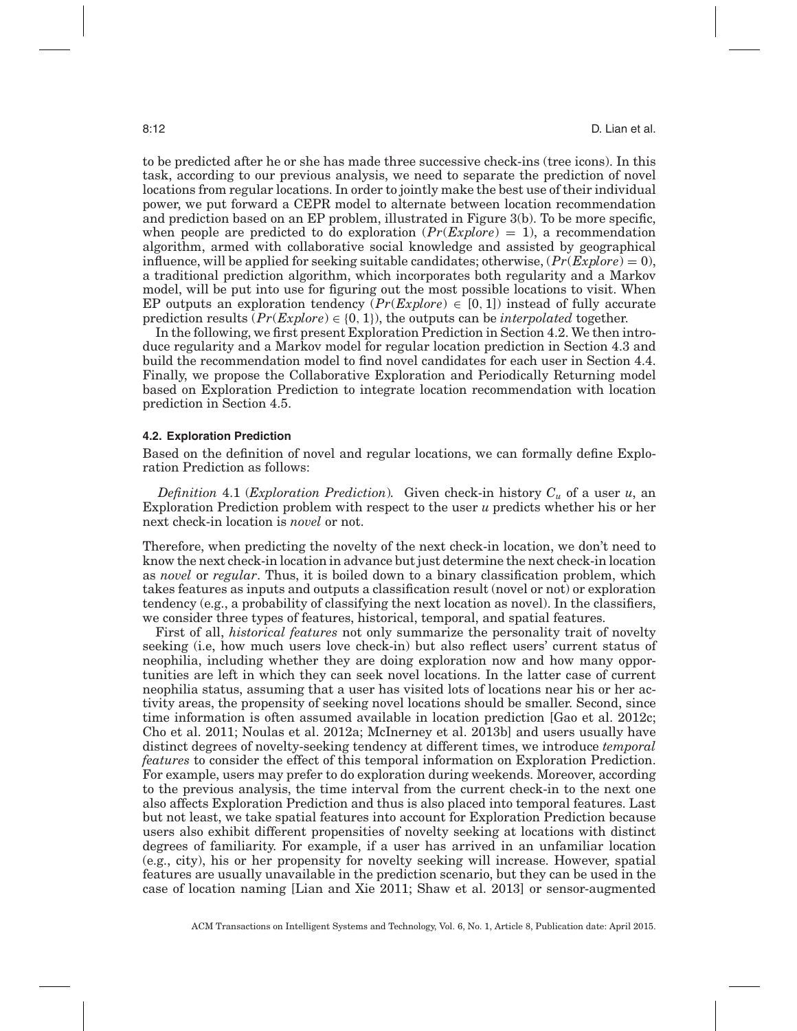to be predicted after he or she has made three successive check-ins (tree icons). In this task, according to our previous analysis, we need to separate the prediction of novel locations from regular locations. In order to jointly make the best use of their individual power, we put forward a CEPR model to alternate between location recommendation and prediction based on an EP problem, illustrated in Figure [3\(](#page-10-1)b). To be more specific, when people are predicted to do exploration  $(Pr(Explore) = 1)$ , a recommendation algorithm, armed with collaborative social knowledge and assisted by geographical influence, will be applied for seeking suitable candidates; otherwise,  $(Pr(Explore) = 0)$ , a traditional prediction algorithm, which incorporates both regularity and a Markov model, will be put into use for figuring out the most possible locations to visit. When EP outputs an exploration tendency  $(Pr(Explore) \in [0, 1])$  instead of fully accurate prediction results  $(Pr(\text{Explore}) \in \{0, 1\})$ , the outputs can be *interpolated* together.

In the following, we first present Exploration Prediction in Section [4.2.](#page-11-0) We then introduce regularity and a Markov model for regular location prediction in Section [4.3](#page-15-0) and build the recommendation model to find novel candidates for each user in Section [4.4.](#page-16-0) Finally, we propose the Collaborative Exploration and Periodically Returning model based on Exploration Prediction to integrate location recommendation with location prediction in Section [4.5.](#page-18-0)

#### **4.2. Exploration Prediction**

<span id="page-11-0"></span>Based on the definition of novel and regular locations, we can formally define Exploration Prediction as follows:

*Definition* 4.1 (*Exploration Prediction*). Given check-in history  $C_u$  of a user *u*, an Exploration Prediction problem with respect to the user *u* predicts whether his or her next check-in location is *novel* or not.

Therefore, when predicting the novelty of the next check-in location, we don't need to know the next check-in location in advance but just determine the next check-in location as *novel* or *regular*. Thus, it is boiled down to a binary classification problem, which takes features as inputs and outputs a classification result (novel or not) or exploration tendency (e.g., a probability of classifying the next location as novel). In the classifiers, we consider three types of features, historical, temporal, and spatial features.

First of all, *historical features* not only summarize the personality trait of novelty seeking (i.e, how much users love check-in) but also reflect users' current status of neophilia, including whether they are doing exploration now and how many opportunities are left in which they can seek novel locations. In the latter case of current neophilia status, assuming that a user has visited lots of locations near his or her activity areas, the propensity of seeking novel locations should be smaller. Second, since time information is often assumed available in location prediction [Gao et al. [2012c;](#page-25-18) Cho et al. [2011;](#page-25-1) Noulas et al. [2012a;](#page-26-2) McInerney et al. [2013b\]](#page-26-17) and users usually have distinct degrees of novelty-seeking tendency at different times, we introduce *temporal features* to consider the effect of this temporal information on Exploration Prediction. For example, users may prefer to do exploration during weekends. Moreover, according to the previous analysis, the time interval from the current check-in to the next one also affects Exploration Prediction and thus is also placed into temporal features. Last but not least, we take spatial features into account for Exploration Prediction because users also exhibit different propensities of novelty seeking at locations with distinct degrees of familiarity. For example, if a user has arrived in an unfamiliar location (e.g., city), his or her propensity for novelty seeking will increase. However, spatial features are usually unavailable in the prediction scenario, but they can be used in the case of location naming [Lian and Xie [2011;](#page-25-19) Shaw et al. [2013\]](#page-26-18) or sensor-augmented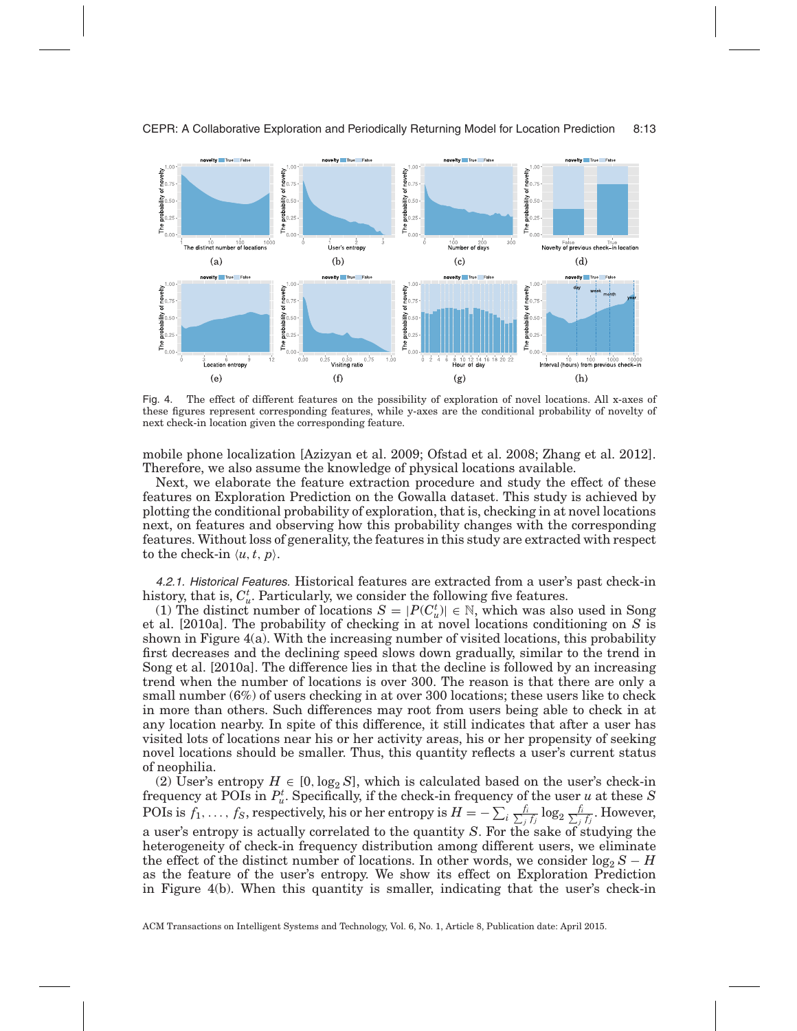<span id="page-12-0"></span>

Fig. 4. The effect of different features on the possibility of exploration of novel locations. All x-axes of these figures represent corresponding features, while y-axes are the conditional probability of novelty of next check-in location given the corresponding feature.

mobile phone localization [Azizyan et al. [2009;](#page-25-20) Ofstad et al. [2008;](#page-26-19) Zhang et al. [2012\]](#page-26-20). Therefore, we also assume the knowledge of physical locations available.

Next, we elaborate the feature extraction procedure and study the effect of these features on Exploration Prediction on the Gowalla dataset. This study is achieved by plotting the conditional probability of exploration, that is, checking in at novel locations next, on features and observing how this probability changes with the corresponding features. Without loss of generality, the features in this study are extracted with respect to the check-in  $\langle u, t, p \rangle$ .

4.2.1. Historical Features. Historical features are extracted from a user's past check-in history, that is,  $C^t_u$ . Particularly, we consider the following five features.

(1) The distinct number of locations  $S = |P(C_u^t)| \in \mathbb{N}$ , which was also used in Song et al. [\[2010a\]](#page-26-3). The probability of checking in at novel locations conditioning on *S* is shown in Figure [4\(](#page-12-0)a). With the increasing number of visited locations, this probability first decreases and the declining speed slows down gradually, similar to the trend in Song et al. [\[2010a\]](#page-26-3). The difference lies in that the decline is followed by an increasing trend when the number of locations is over 300. The reason is that there are only a small number (6%) of users checking in at over 300 locations; these users like to check in more than others. Such differences may root from users being able to check in at any location nearby. In spite of this difference, it still indicates that after a user has visited lots of locations near his or her activity areas, his or her propensity of seeking novel locations should be smaller. Thus, this quantity reflects a user's current status of neophilia.

(2) User's entropy  $H \in [0, \log_2 S]$ , which is calculated based on the user's check-in frequency at POIs in  $P^t_u$ . Specifically, if the check-in frequency of the user *u* at these *S*  $\text{POIs is } f_1,\ldots,f_S\text{, respectively, his or her entropy is } H = -\sum_i\frac{f_i}{\sum_j f_j}\log_2\frac{f_i}{\sum_j f_j}$  $\frac{f_i}{f_j f_j}.$  However, a user's entropy is actually correlated to the quantity *S*. For the sake of studying the heterogeneity of check-in frequency distribution among different users, we eliminate the effect of the distinct number of locations. In other words, we consider  $\log_2 S - H$ as the feature of the user's entropy. We show its effect on Exploration Prediction in Figure [4\(](#page-12-0)b). When this quantity is smaller, indicating that the user's check-in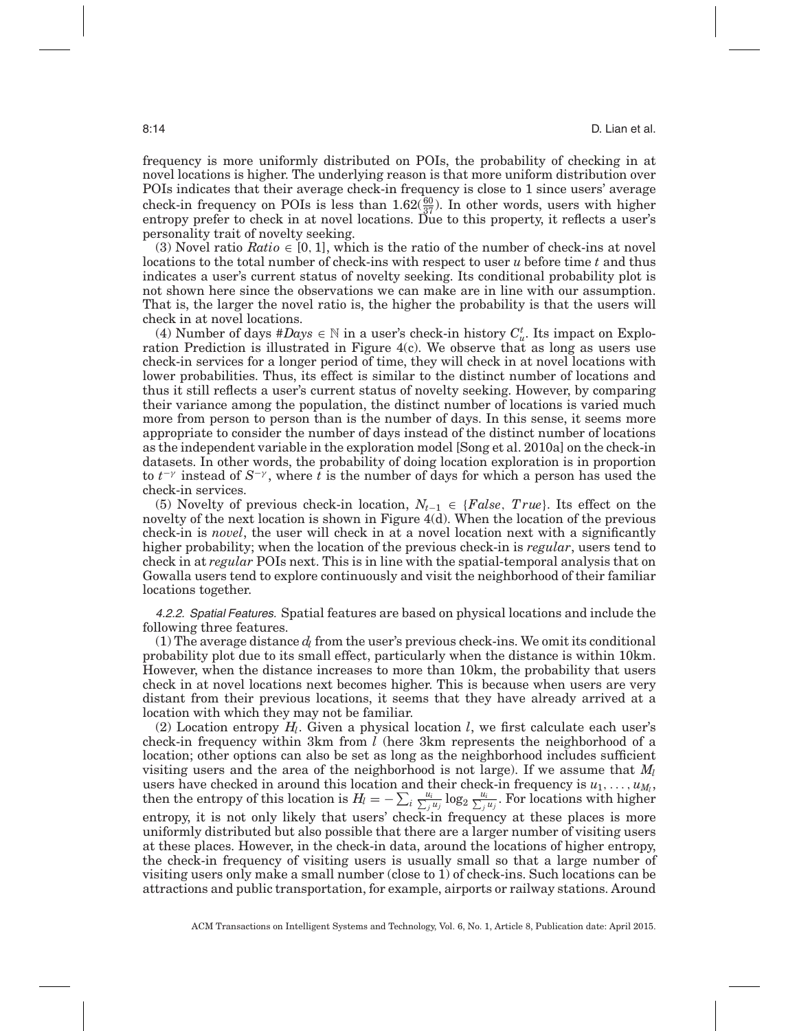frequency is more uniformly distributed on POIs, the probability of checking in at novel locations is higher. The underlying reason is that more uniform distribution over POIs indicates that their average check-in frequency is close to 1 since users' average check-in frequency on POIs is less than  $1.62(\frac{60}{37})$ . In other words, users with higher entropy prefer to check in at novel locations. Due to this property, it reflects a user's personality trait of novelty seeking.

(3) Novel ratio *Ratio*  $\in [0, 1]$ , which is the ratio of the number of check-ins at novel locations to the total number of check-ins with respect to user *u* before time *t* and thus indicates a user's current status of novelty seeking. Its conditional probability plot is not shown here since the observations we can make are in line with our assumption. That is, the larger the novel ratio is, the higher the probability is that the users will check in at novel locations.

(4) Number of days  $#Days \in \mathbb{N}$  in a user's check-in history  $C_u^t$ . Its impact on Exploration Prediction is illustrated in Figure [4\(](#page-12-0)c). We observe that as long as users use check-in services for a longer period of time, they will check in at novel locations with lower probabilities. Thus, its effect is similar to the distinct number of locations and thus it still reflects a user's current status of novelty seeking. However, by comparing their variance among the population, the distinct number of locations is varied much more from person to person than is the number of days. In this sense, it seems more appropriate to consider the number of days instead of the distinct number of locations as the independent variable in the exploration model [Song et al. [2010a\]](#page-26-3) on the check-in datasets. In other words, the probability of doing location exploration is in proportion to *t*<sup>−</sup><sup>γ</sup> instead of *S*<sup>−</sup><sup>γ</sup> , where *t* is the number of days for which a person has used the check-in services.

(5) Novelty of previous check-in location, *Nt*<sup>−</sup><sup>1</sup> ∈ {*False*, *T rue*}. Its effect on the novelty of the next location is shown in Figure [4\(](#page-12-0)d). When the location of the previous check-in is *novel*, the user will check in at a novel location next with a significantly higher probability; when the location of the previous check-in is *regular*, users tend to check in at *regular* POIs next. This is in line with the spatial-temporal analysis that on Gowalla users tend to explore continuously and visit the neighborhood of their familiar locations together.

4.2.2. Spatial Features. Spatial features are based on physical locations and include the following three features.

 $(1)$  The average distance  $d_l$  from the user's previous check-ins. We omit its conditional probability plot due to its small effect, particularly when the distance is within 10km. However, when the distance increases to more than 10km, the probability that users check in at novel locations next becomes higher. This is because when users are very distant from their previous locations, it seems that they have already arrived at a location with which they may not be familiar.

(2) Location entropy *Hl*. Given a physical location *l*, we first calculate each user's check-in frequency within 3km from *l* (here 3km represents the neighborhood of a location; other options can also be set as long as the neighborhood includes sufficient visiting users and the area of the neighborhood is not large). If we assume that  $M_l$ users have checked in around this location and their check-in frequency is  $u_1, \ldots, u_{M_l}$ , then the entropy of this location is  $H_l = -\sum_i \frac{u_i}{\sum_j u_j} \log_2 \frac{u_i}{\sum_j u_j}$ . For locations with higher entropy, it is not only likely that users' check-in frequency at these places is more uniformly distributed but also possible that there are a larger number of visiting users at these places. However, in the check-in data, around the locations of higher entropy, the check-in frequency of visiting users is usually small so that a large number of visiting users only make a small number (close to 1) of check-ins. Such locations can be attractions and public transportation, for example, airports or railway stations. Around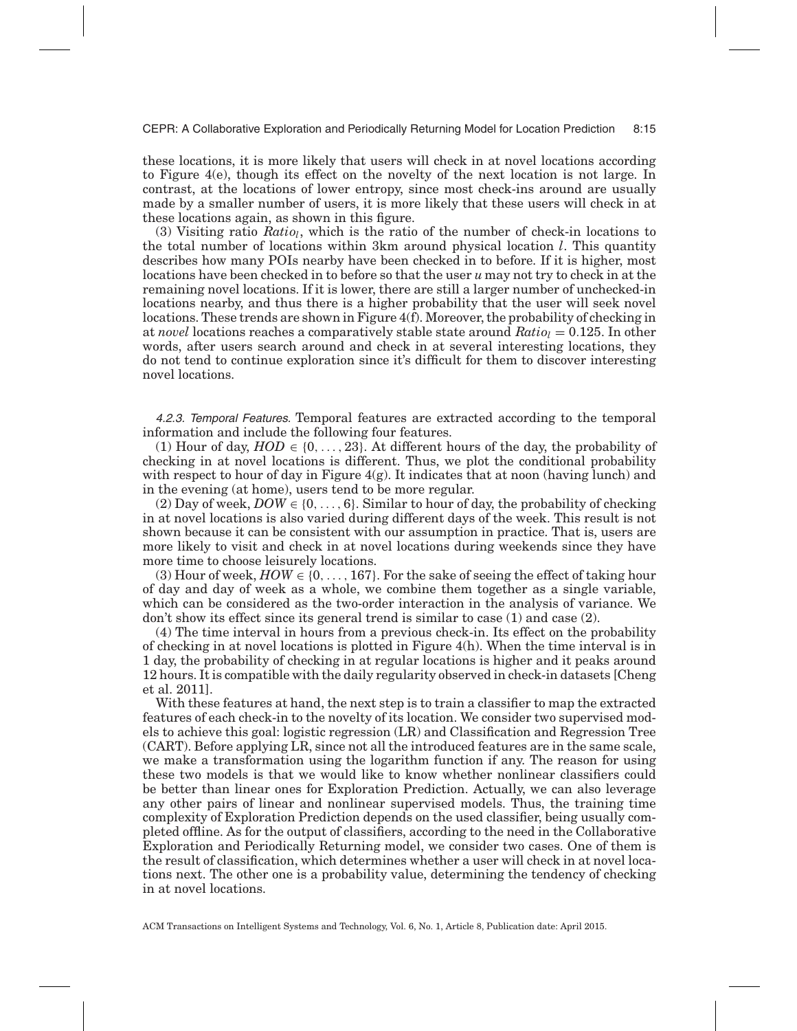these locations, it is more likely that users will check in at novel locations according to Figure [4\(](#page-12-0)e), though its effect on the novelty of the next location is not large. In contrast, at the locations of lower entropy, since most check-ins around are usually made by a smaller number of users, it is more likely that these users will check in at these locations again, as shown in this figure.

(3) Visiting ratio *Ratiol*, which is the ratio of the number of check-in locations to the total number of locations within 3km around physical location *l*. This quantity describes how many POIs nearby have been checked in to before. If it is higher, most locations have been checked in to before so that the user *u* may not try to check in at the remaining novel locations. If it is lower, there are still a larger number of unchecked-in locations nearby, and thus there is a higher probability that the user will seek novel locations. These trends are shown in Figure [4\(](#page-12-0)f). Moreover, the probability of checking in at *novel* locations reaches a comparatively stable state around *Ratio*<sub>l</sub> = 0.125. In other words, after users search around and check in at several interesting locations, they do not tend to continue exploration since it's difficult for them to discover interesting novel locations.

4.2.3. Temporal Features. Temporal features are extracted according to the temporal information and include the following four features.

(1) Hour of day,  $HOD \in \{0, \ldots, 23\}$ . At different hours of the day, the probability of checking in at novel locations is different. Thus, we plot the conditional probability with respect to hour of day in Figure  $4(g)$ . It indicates that at noon (having lunch) and in the evening (at home), users tend to be more regular.

(2) Day of week,  $DOW \in \{0, \ldots, 6\}$ . Similar to hour of day, the probability of checking in at novel locations is also varied during different days of the week. This result is not shown because it can be consistent with our assumption in practice. That is, users are more likely to visit and check in at novel locations during weekends since they have more time to choose leisurely locations.

(3) Hour of week,  $HOW \in \{0, \ldots, 167\}$ . For the sake of seeing the effect of taking hour of day and day of week as a whole, we combine them together as a single variable, which can be considered as the two-order interaction in the analysis of variance. We don't show its effect since its general trend is similar to case (1) and case (2).

(4) The time interval in hours from a previous check-in. Its effect on the probability of checking in at novel locations is plotted in Figure [4\(](#page-12-0)h). When the time interval is in 1 day, the probability of checking in at regular locations is higher and it peaks around 12 hours. It is compatible with the daily regularity observed in check-in datasets [Cheng et al. [2011\]](#page-25-13).

With these features at hand, the next step is to train a classifier to map the extracted features of each check-in to the novelty of its location. We consider two supervised models to achieve this goal: logistic regression (LR) and Classification and Regression Tree (CART). Before applying LR, since not all the introduced features are in the same scale, we make a transformation using the logarithm function if any. The reason for using these two models is that we would like to know whether nonlinear classifiers could be better than linear ones for Exploration Prediction. Actually, we can also leverage any other pairs of linear and nonlinear supervised models. Thus, the training time complexity of Exploration Prediction depends on the used classifier, being usually completed offline. As for the output of classifiers, according to the need in the Collaborative Exploration and Periodically Returning model, we consider two cases. One of them is the result of classification, which determines whether a user will check in at novel locations next. The other one is a probability value, determining the tendency of checking in at novel locations.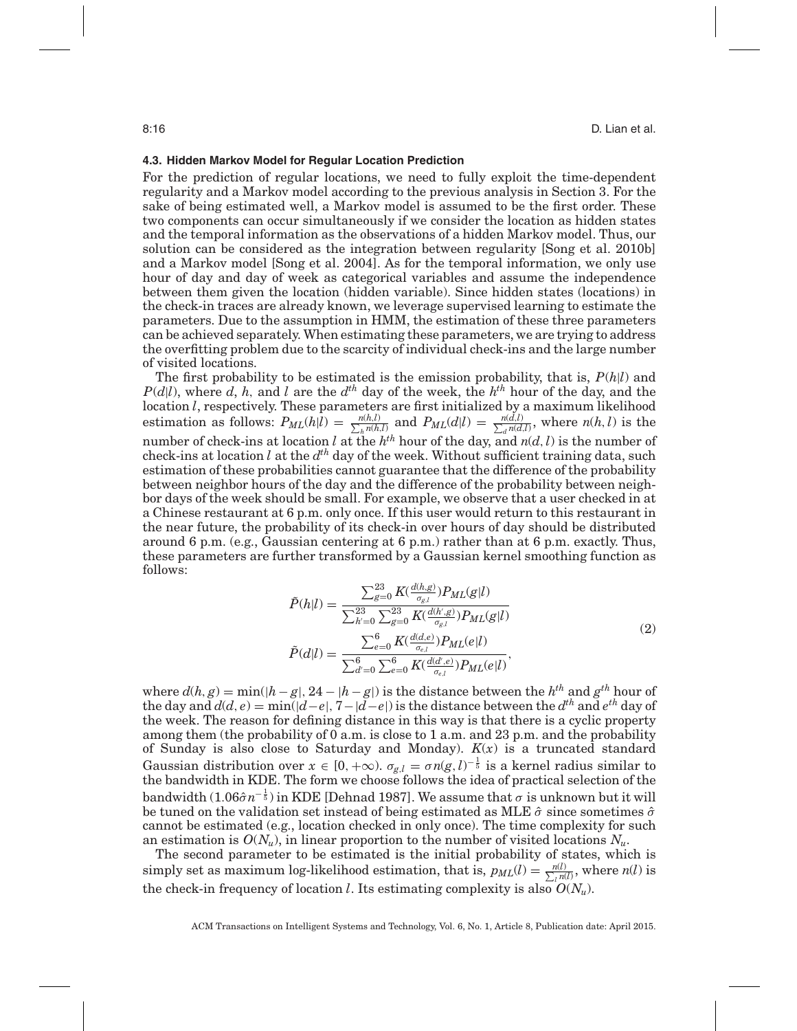#### **4.3. Hidden Markov Model for Regular Location Prediction**

<span id="page-15-0"></span>For the prediction of regular locations, we need to fully exploit the time-dependent regularity and a Markov model according to the previous analysis in Section [3.](#page-5-0) For the sake of being estimated well, a Markov model is assumed to be the first order. These two components can occur simultaneously if we consider the location as hidden states and the temporal information as the observations of a hidden Markov model. Thus, our solution can be considered as the integration between regularity [Song et al. [2010b\]](#page-26-1) and a Markov model [Song et al. [2004\]](#page-26-0). As for the temporal information, we only use hour of day and day of week as categorical variables and assume the independence between them given the location (hidden variable). Since hidden states (locations) in the check-in traces are already known, we leverage supervised learning to estimate the parameters. Due to the assumption in HMM, the estimation of these three parameters can be achieved separately. When estimating these parameters, we are trying to address the overfitting problem due to the scarcity of individual check-ins and the large number of visited locations.

The first probability to be estimated is the emission probability, that is, *P*(*h*|*l*) and  $P(d|l)$ , where *d*, *h*, and *l* are the  $d^{th}$  day of the week, the  $h^{th}$  hour of the day, and the location *l*, respectively. These parameters are first initialized by a maximum likelihood estimation as follows:  $P_{ML}(h|l) = \frac{n(h,l)}{\sum_h n(h,l)}$  and  $P_{ML}(d|l) = \frac{n(d,l)}{\sum_d n(d,l)}$ , where  $n(h,l)$  is the number of check-ins at location *l* at the *hth* hour of the day, and *n*(*d*,*l*) is the number of check-ins at location *l* at the  $d^{th}$  day of the week. Without sufficient training data, such estimation of these probabilities cannot guarantee that the difference of the probability between neighbor hours of the day and the difference of the probability between neighbor days of the week should be small. For example, we observe that a user checked in at a Chinese restaurant at 6 p.m. only once. If this user would return to this restaurant in the near future, the probability of its check-in over hours of day should be distributed around 6 p.m. (e.g., Gaussian centering at 6 p.m.) rather than at 6 p.m. exactly. Thus, these parameters are further transformed by a Gaussian kernel smoothing function as follows:

$$
\tilde{P}(h|l) = \frac{\sum_{g=0}^{23} K(\frac{d(h,g)}{\sigma_{g,l}}) P_{ML}(g|l)}{\sum_{h'=0}^{23} \sum_{g=0}^{23} K(\frac{d(h,g)}{\sigma_{g,l}}) P_{ML}(g|l)}
$$
\n
$$
\tilde{P}(d|l) = \frac{\sum_{e=0}^{6} K(\frac{d(d,e)}{\sigma_{e,l}}) P_{ML}(e|l)}{\sum_{d'=0}^{6} \sum_{e=0}^{6} K(\frac{d(d,e)}{\sigma_{e,l}}) P_{ML}(e|l)},
$$
\n(2)

where  $d(h, g) = \min(|h - g|, 24 - |h - g|)$  is the distance between the  $h^{th}$  and  $g^{th}$  hour of the day and  $d(d, e) = min(|d-e|, 7 - |\bar{d}-e|)$  is the distance between the  $d^{th}$  and  $e^{th}$  day of the week. The reason for defining distance in this way is that there is a cyclic property among them (the probability of 0 a.m. is close to 1 a.m. and 23 p.m. and the probability of Sunday is also close to Saturday and Monday).  $K(x)$  is a truncated standard Gaussian distribution over  $x \in [0, +\infty)$ .  $\sigma_{g,l} = \sigma n(g,l)^{-\frac{1}{5}}$  is a kernel radius similar to the bandwidth in KDE. The form we choose follows the idea of practical selection of the bandwidth (1.06 $\hat{\sigma}n^{-\frac{1}{5}}$ ) in KDE [Dehnad [1987\]](#page-25-21). We assume that  $\sigma$  is unknown but it will be tuned on the validation set instead of being estimated as MLE  $\hat{\sigma}$  since sometimes  $\hat{\sigma}$ cannot be estimated (e.g., location checked in only once). The time complexity for such an estimation is  $O(N_u)$ , in linear proportion to the number of visited locations  $N_u$ .

The second parameter to be estimated is the initial probability of states, which is simply set as maximum log-likelihood estimation, that is,  $p_{ML}(l) = \frac{n(l)}{\sum_l n(l)}$ , where  $n(l)$  is the check-in frequency of location *l*. Its estimating complexity is also  $O(N_u)$ .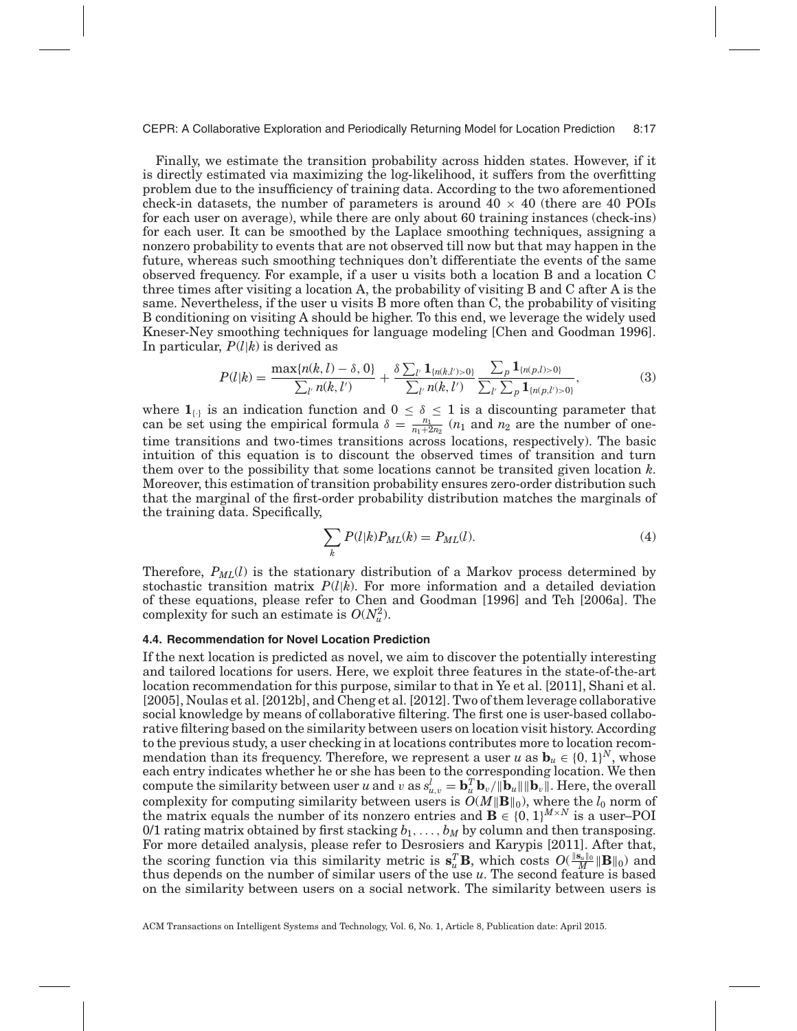Finally, we estimate the transition probability across hidden states. However, if it is directly estimated via maximizing the log-likelihood, it suffers from the overfitting problem due to the insufficiency of training data. According to the two aforementioned check-in datasets, the number of parameters is around  $40 \times 40$  (there are 40 POIs for each user on average), while there are only about 60 training instances (check-ins) for each user. It can be smoothed by the Laplace smoothing techniques, assigning a nonzero probability to events that are not observed till now but that may happen in the future, whereas such smoothing techniques don't differentiate the events of the same observed frequency. For example, if a user u visits both a location B and a location C three times after visiting a location A, the probability of visiting B and C after A is the same. Nevertheless, if the user u visits B more often than C, the probability of visiting B conditioning on visiting A should be higher. To this end, we leverage the widely used Kneser-Ney smoothing techniques for language modeling [Chen and Goodman [1996\]](#page-25-22). In particular, *P*(*l*|*k*) is derived as

$$
P(l|k) = \frac{\max\{n(k,l) - \delta, 0\}}{\sum_{l'} n(k,l')} + \frac{\delta \sum_{l'} \mathbf{1}_{\{n(k,l')>0\}}}{\sum_{l'} n(k,l')} \frac{\sum_{p} \mathbf{1}_{\{n(p,l)>0\}}}{\sum_{l'} \sum_{p} \mathbf{1}_{\{n(p,l')>0\}}},
$$
(3)

where  $\mathbf{1}_{\{\cdot\}}$  is an indication function and  $0 \leq \delta \leq 1$  is a discounting parameter that can be set using the empirical formula  $\delta = \frac{n_1}{n_1 + 2n_2}$  ( $n_1$  and  $n_2$  are the number of onetime transitions and two-times transitions across locations, respectively). The basic intuition of this equation is to discount the observed times of transition and turn them over to the possibility that some locations cannot be transited given location *k*. Moreover, this estimation of transition probability ensures zero-order distribution such that the marginal of the first-order probability distribution matches the marginals of the training data. Specifically,

<span id="page-16-0"></span>
$$
\sum_{k} P(l|k) P_{ML}(k) = P_{ML}(l). \tag{4}
$$

Therefore,  $P_{ML}(l)$  is the stationary distribution of a Markov process determined by stochastic transition matrix  $P(l|k)$ . For more information and a detailed deviation of these equations, please refer to Chen and Goodman [\[1996\]](#page-25-22) and Teh [\[2006a\]](#page-26-21). The complexity for such an estimate is  $O(N_u^2)$ .

#### **4.4. Recommendation for Novel Location Prediction**

If the next location is predicted as novel, we aim to discover the potentially interesting and tailored locations for users. Here, we exploit three features in the state-of-the-art location recommendation for this purpose, similar to that in Ye et al. [\[2011\]](#page-26-8), Shani et al. [\[2005\]](#page-26-22), Noulas et al. [\[2012b\]](#page-26-4), and Cheng et al. [\[2012\]](#page-25-7). Two of them leverage collaborative social knowledge by means of collaborative filtering. The first one is user-based collaborative filtering based on the similarity between users on location visit history. According to the previous study, a user checking in at locations contributes more to location recommendation than its frequency. Therefore, we represent a user *u* as  $\mathbf{b}_u \in \{0, 1\}^N$ , whose each entry indicates whether he or she has been to the corresponding location. We then compute the similarity between user  $u$  and  $v$  as  $s^l_{u,v} = \mathbf{b}_u^T \mathbf{b}_v / \|\mathbf{b}_u\| \|\mathbf{b}_v\|$ . Here, the overall complexity for computing similarity between users is  $O(M\|\mathbf{B}\|_0)$ , where the  $l_0$  norm of the matrix equals the number of its nonzero entries and  $\mathbf{B} \in \{0, 1\}^{M \times N}$  is a user–POI 0/1 rating matrix obtained by first stacking  $b_1, \ldots, b_M$  by column and then transposing. For more detailed analysis, please refer to Desrosiers and Karypis [\[2011\]](#page-25-23). After that, the scoring function via this similarity metric is  $\mathbf{s}_u^T \mathbf{B}$ , which costs  $O(\frac{\|\mathbf{s}_u\|_0}{M}\|\mathbf{B}\|_0)$  and thus depends on the number of similar users of the use *u*. The second feature is based on the similarity between users on a social network. The similarity between users is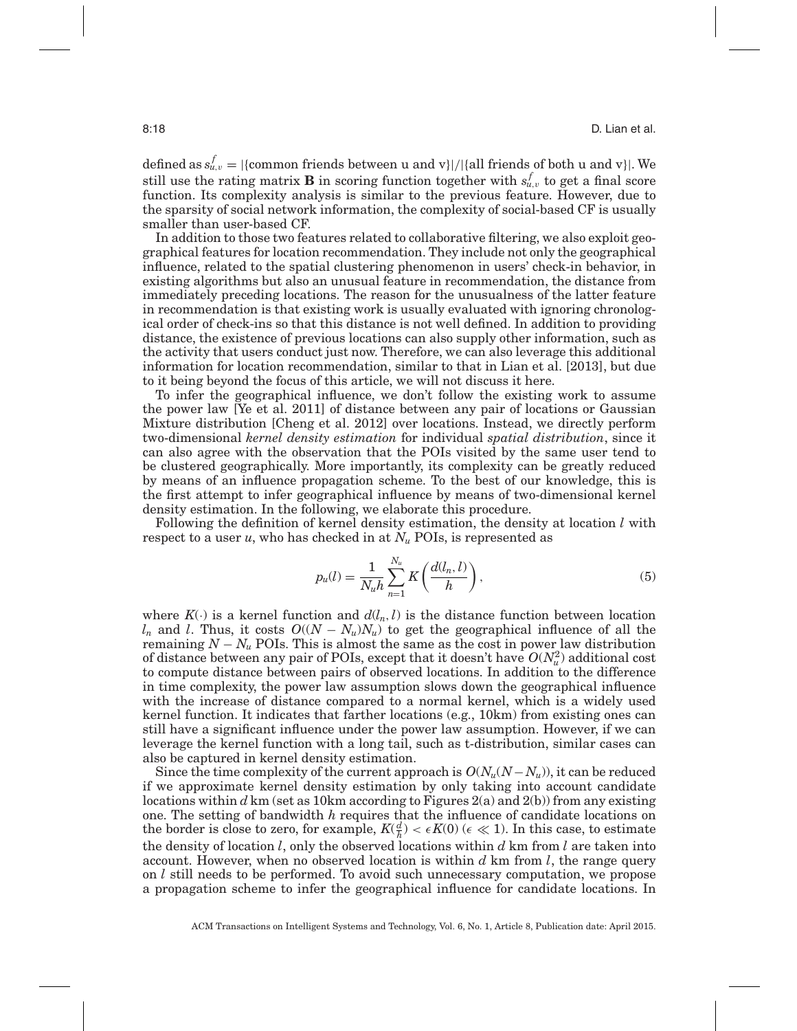defined as  $s_{u,v}^f = |\{\hbox{common friends between u and v}\}| / |\{\hbox{all friends of both u and v}\}|.$  We still use the rating matrix **B** in scoring function together with  $s_{u,v}^f$  to get a final score function. Its complexity analysis is similar to the previous feature. However, due to the sparsity of social network information, the complexity of social-based CF is usually smaller than user-based CF.

In addition to those two features related to collaborative filtering, we also exploit geographical features for location recommendation. They include not only the geographical influence, related to the spatial clustering phenomenon in users' check-in behavior, in existing algorithms but also an unusual feature in recommendation, the distance from immediately preceding locations. The reason for the unusualness of the latter feature in recommendation is that existing work is usually evaluated with ignoring chronological order of check-ins so that this distance is not well defined. In addition to providing distance, the existence of previous locations can also supply other information, such as the activity that users conduct just now. Therefore, we can also leverage this additional information for location recommendation, similar to that in Lian et al. [\[2013\]](#page-25-8), but due to it being beyond the focus of this article, we will not discuss it here.

To infer the geographical influence, we don't follow the existing work to assume the power law [Ye et al. [2011\]](#page-26-8) of distance between any pair of locations or Gaussian Mixture distribution [Cheng et al. [2012\]](#page-25-7) over locations. Instead, we directly perform two-dimensional *kernel density estimation* for individual *spatial distribution*, since it can also agree with the observation that the POIs visited by the same user tend to be clustered geographically. More importantly, its complexity can be greatly reduced by means of an influence propagation scheme. To the best of our knowledge, this is the first attempt to infer geographical influence by means of two-dimensional kernel density estimation. In the following, we elaborate this procedure.

Following the definition of kernel density estimation, the density at location *l* with respect to a user *u*, who has checked in at *Nu* POIs, is represented as

$$
p_u(l) = \frac{1}{N_u h} \sum_{n=1}^{N_u} K\left(\frac{d(l_n, l)}{h}\right),\tag{5}
$$

where  $K(\cdot)$  is a kernel function and  $d(l_n, l)$  is the distance function between location  $l_n$  and *l*. Thus, it costs  $O((N - N_u)N_u)$  to get the geographical influence of all the remaining  $N - N_u$  POIs. This is almost the same as the cost in power law distribution of distance between any pair of POIs, except that it doesn't have  $O(N_u^2)$  additional cost to compute distance between pairs of observed locations. In addition to the difference in time complexity, the power law assumption slows down the geographical influence with the increase of distance compared to a normal kernel, which is a widely used kernel function. It indicates that farther locations (e.g., 10km) from existing ones can still have a significant influence under the power law assumption. However, if we can leverage the kernel function with a long tail, such as t-distribution, similar cases can also be captured in kernel density estimation.

Since the time complexity of the current approach is  $O(N_u(N - N_u))$ , it can be reduced if we approximate kernel density estimation by only taking into account candidate locations within *d* km (set as 10km according to Figures [2\(](#page-9-0)a) and 2(b)) from any existing one. The setting of bandwidth *h* requires that the influence of candidate locations on the border is close to zero, for example,  $K(\frac{d}{h}) < \epsilon K(0)$  ( $\epsilon \ll 1$ ). In this case, to estimate the density of location *l*, only the observed locations within *d* km from *l* are taken into account. However, when no observed location is within *d* km from *l*, the range query on *l* still needs to be performed. To avoid such unnecessary computation, we propose a propagation scheme to infer the geographical influence for candidate locations. In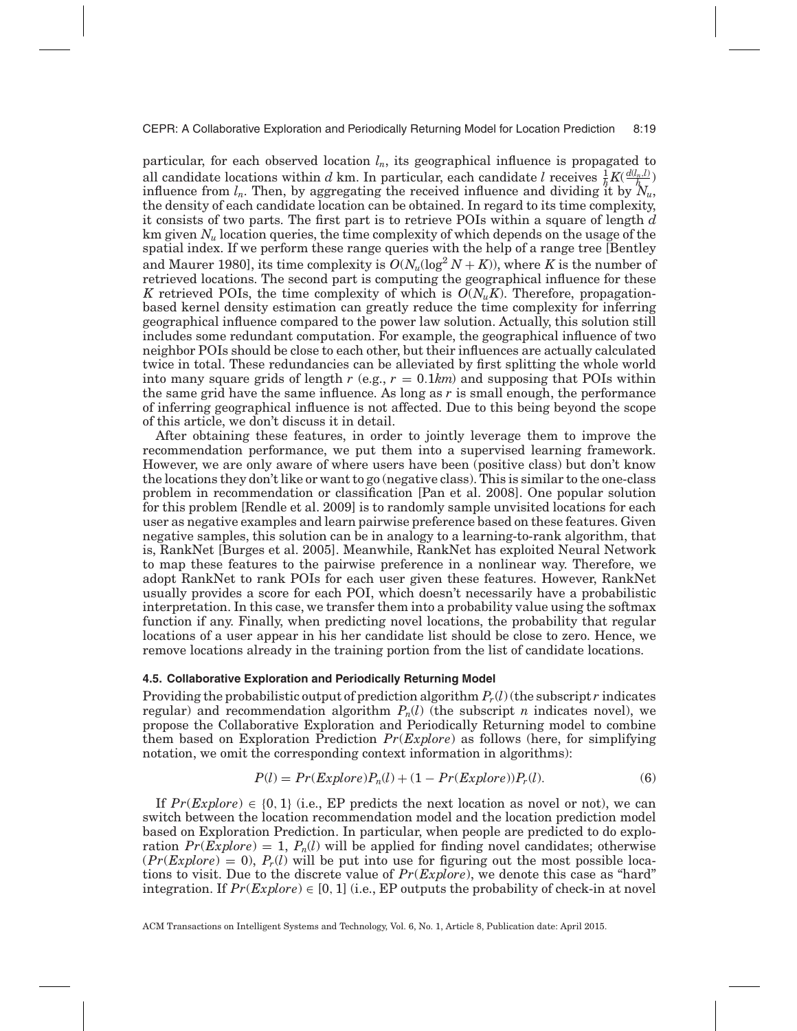particular, for each observed location  $l_n$ , its geographical influence is propagated to all candidate locations within *d* km. In particular, each candidate *l* receives  $\frac{1}{h} K(\frac{d(l_n,l)}{h_n})$ influence from  $l_n$ . Then, by aggregating the received influence and dividing it by  $N_u$ , the density of each candidate location can be obtained. In regard to its time complexity, it consists of two parts. The first part is to retrieve POIs within a square of length *d* km given *Nu* location queries, the time complexity of which depends on the usage of the spatial index. If we perform these range queries with the help of a range tree [Bentley and Maurer [1980\]](#page-25-24), its time complexity is  $O(N_u(\log^2 N + K))$ , where *K* is the number of retrieved locations. The second part is computing the geographical influence for these *K* retrieved POIs, the time complexity of which is  $O(N_u K)$ . Therefore, propagationbased kernel density estimation can greatly reduce the time complexity for inferring geographical influence compared to the power law solution. Actually, this solution still includes some redundant computation. For example, the geographical influence of two neighbor POIs should be close to each other, but their influences are actually calculated twice in total. These redundancies can be alleviated by first splitting the whole world into many square grids of length  $r$  (e.g.,  $r = 0.1$ *km*) and supposing that POIs within the same grid have the same influence. As long as *r* is small enough, the performance of inferring geographical influence is not affected. Due to this being beyond the scope of this article, we don't discuss it in detail.

After obtaining these features, in order to jointly leverage them to improve the recommendation performance, we put them into a supervised learning framework. However, we are only aware of where users have been (positive class) but don't know the locations they don't like or want to go (negative class). This is similar to the one-class problem in recommendation or classification [Pan et al. [2008\]](#page-26-23). One popular solution for this problem [Rendle et al. [2009\]](#page-26-24) is to randomly sample unvisited locations for each user as negative examples and learn pairwise preference based on these features. Given negative samples, this solution can be in analogy to a learning-to-rank algorithm, that is, RankNet [Burges et al. [2005\]](#page-25-9). Meanwhile, RankNet has exploited Neural Network to map these features to the pairwise preference in a nonlinear way. Therefore, we adopt RankNet to rank POIs for each user given these features. However, RankNet usually provides a score for each POI, which doesn't necessarily have a probabilistic interpretation. In this case, we transfer them into a probability value using the softmax function if any. Finally, when predicting novel locations, the probability that regular locations of a user appear in his her candidate list should be close to zero. Hence, we remove locations already in the training portion from the list of candidate locations.

# **4.5. Collaborative Exploration and Periodically Returning Model**

Providing the probabilistic output of prediction algorithm  $P_r(l)$  (the subscript *r* indicates regular) and recommendation algorithm  $P_n(l)$  (the subscript *n* indicates novel), we propose the Collaborative Exploration and Periodically Returning model to combine them based on Exploration Prediction *Pr*(*Explore*) as follows (here, for simplifying notation, we omit the corresponding context information in algorithms):

<span id="page-18-0"></span>
$$
P(l) = Pr(Explore)P_n(l) + (1 - Pr(Explore))P_r(l). \tag{6}
$$

If  $Pr(\text{Explore}) \in \{0, 1\}$  (i.e., EP predicts the next location as novel or not), we can switch between the location recommendation model and the location prediction model based on Exploration Prediction. In particular, when people are predicted to do exploration  $Pr(\text{Explore}) = 1, P_n(l)$  will be applied for finding novel candidates; otherwise  $(Pr(Explore) = 0)$ ,  $P_r(l)$  will be put into use for figuring out the most possible locations to visit. Due to the discrete value of *Pr*(*Explore*), we denote this case as "hard" integration. If  $Pr(\text{Explore}) \in [0, 1]$  (i.e., EP outputs the probability of check-in at novel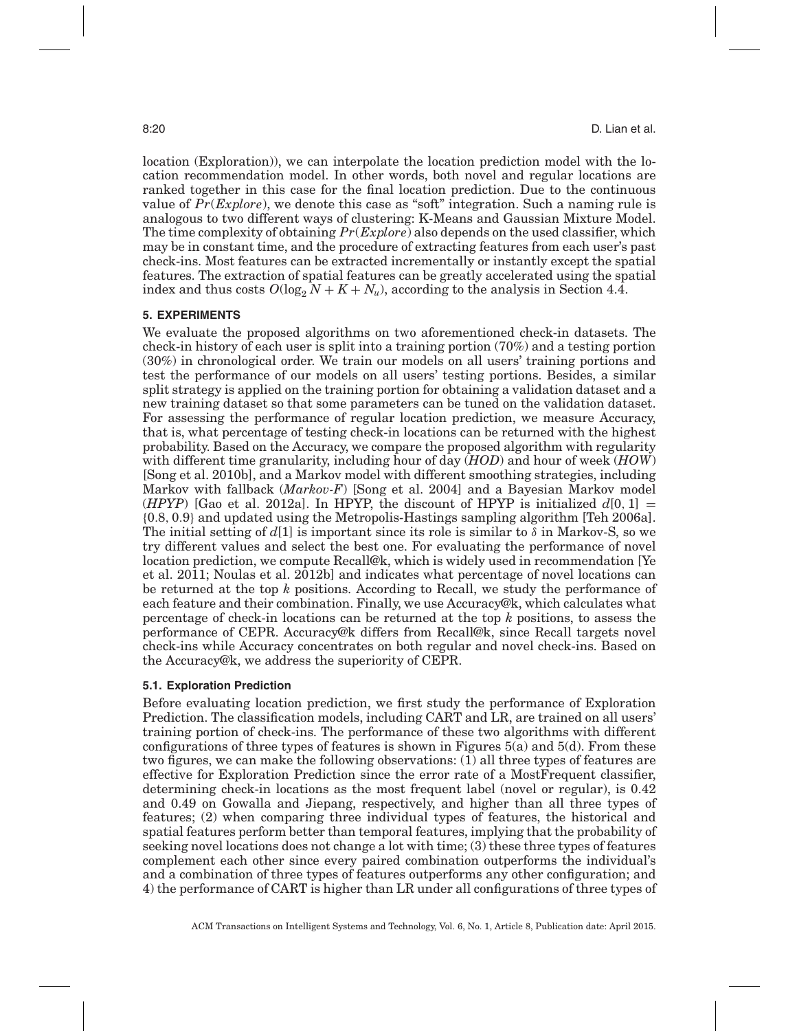location (Exploration)), we can interpolate the location prediction model with the location recommendation model. In other words, both novel and regular locations are ranked together in this case for the final location prediction. Due to the continuous value of *Pr*(*Explore*), we denote this case as "soft" integration. Such a naming rule is analogous to two different ways of clustering: K-Means and Gaussian Mixture Model. The time complexity of obtaining *Pr*(*Explore*) also depends on the used classifier, which may be in constant time, and the procedure of extracting features from each user's past check-ins. Most features can be extracted incrementally or instantly except the spatial features. The extraction of spatial features can be greatly accelerated using the spatial index and thus costs  $O(\log_2 N + K + N_u)$ , according to the analysis in Section [4.4.](#page-16-0)

# **5. EXPERIMENTS**

<span id="page-19-0"></span>We evaluate the proposed algorithms on two aforementioned check-in datasets. The check-in history of each user is split into a training portion (70%) and a testing portion (30%) in chronological order. We train our models on all users' training portions and test the performance of our models on all users' testing portions. Besides, a similar split strategy is applied on the training portion for obtaining a validation dataset and a new training dataset so that some parameters can be tuned on the validation dataset. For assessing the performance of regular location prediction, we measure Accuracy, that is, what percentage of testing check-in locations can be returned with the highest probability. Based on the Accuracy, we compare the proposed algorithm with regularity with different time granularity, including hour of day (*HOD*) and hour of week (*HOW*) [Song et al. [2010b\]](#page-26-1), and a Markov model with different smoothing strategies, including Markov with fallback (*Markov-F*) [Song et al. [2004\]](#page-26-0) and a Bayesian Markov model (*HPYP*) [Gao et al. [2012a\]](#page-25-4). In HPYP, the discount of HPYP is initialized  $d[0, 1] =$ {0.8, 0.9} and updated using the Metropolis-Hastings sampling algorithm [Teh [2006a\]](#page-26-21). The initial setting of  $d[1]$  is important since its role is similar to  $\delta$  in Markov-S, so we try different values and select the best one. For evaluating the performance of novel location prediction, we compute Recall@k, which is widely used in recommendation [Ye et al. [2011;](#page-26-8) Noulas et al. [2012b\]](#page-26-4) and indicates what percentage of novel locations can be returned at the top *k* positions. According to Recall, we study the performance of each feature and their combination. Finally, we use Accuracy@k, which calculates what percentage of check-in locations can be returned at the top *k* positions, to assess the performance of CEPR. Accuracy@k differs from Recall@k, since Recall targets novel check-ins while Accuracy concentrates on both regular and novel check-ins. Based on the Accuracy@k, we address the superiority of CEPR.

# **5.1. Exploration Prediction**

Before evaluating location prediction, we first study the performance of Exploration Prediction. The classification models, including CART and LR, are trained on all users' training portion of check-ins. The performance of these two algorithms with different configurations of three types of features is shown in Figures  $5(a)$  and  $5(d)$ . From these two figures, we can make the following observations: (1) all three types of features are effective for Exploration Prediction since the error rate of a MostFrequent classifier, determining check-in locations as the most frequent label (novel or regular), is 0.42 and 0.49 on Gowalla and Jiepang, respectively, and higher than all three types of features; (2) when comparing three individual types of features, the historical and spatial features perform better than temporal features, implying that the probability of seeking novel locations does not change a lot with time; (3) these three types of features complement each other since every paired combination outperforms the individual's and a combination of three types of features outperforms any other configuration; and 4) the performance of CART is higher than LR under all configurations of three types of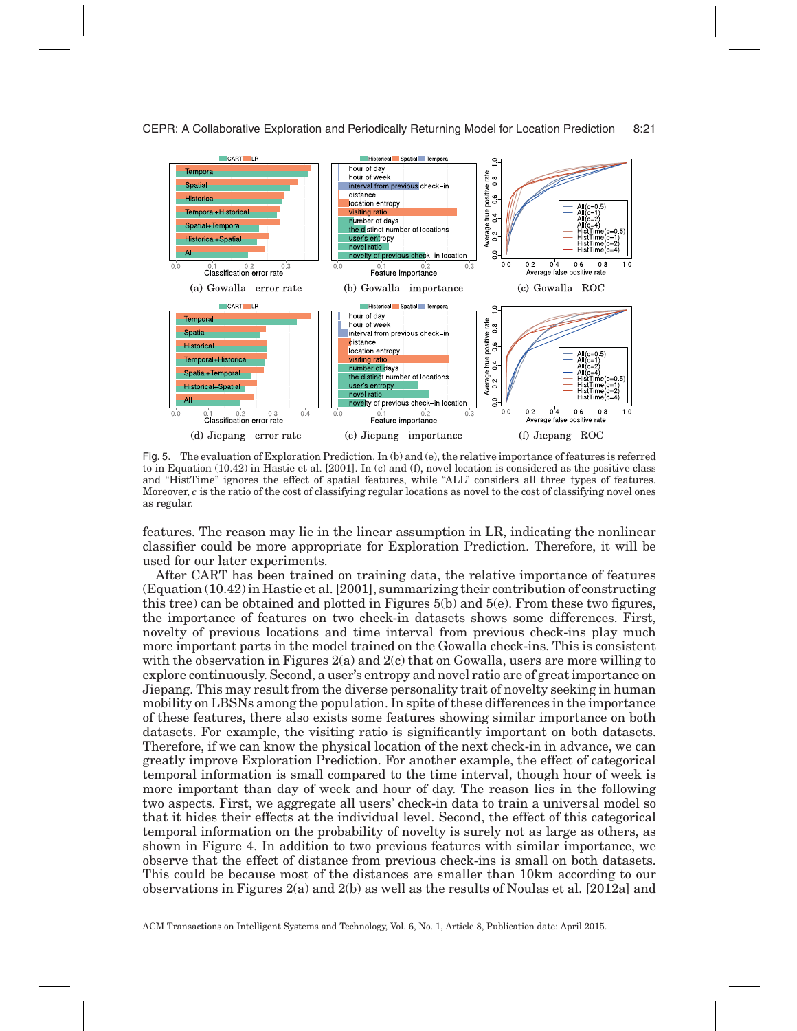<span id="page-20-0"></span>

Fig. 5. The evaluation of Exploration Prediction. In (b) and (e), the relative importance of features is referred to in Equation (10.42) in Hastie et al. [\[2001\]](#page-25-25). In (c) and (f), novel location is considered as the positive class and "HistTime" ignores the effect of spatial features, while "ALL" considers all three types of features. Moreover, *c* is the ratio of the cost of classifying regular locations as novel to the cost of classifying novel ones as regular.

features. The reason may lie in the linear assumption in LR, indicating the nonlinear classifier could be more appropriate for Exploration Prediction. Therefore, it will be used for our later experiments.

After CART has been trained on training data, the relative importance of features (Equation (10.42) in Hastie et al. [\[2001\]](#page-25-25), summarizing their contribution of constructing this tree) can be obtained and plotted in Figures [5\(](#page-20-0)b) and [5\(](#page-20-0)e). From these two figures, the importance of features on two check-in datasets shows some differences. First, novelty of previous locations and time interval from previous check-ins play much more important parts in the model trained on the Gowalla check-ins. This is consistent with the observation in Figures [2\(](#page-9-0)a) and 2(c) that on Gowalla, users are more willing to explore continuously. Second, a user's entropy and novel ratio are of great importance on Jiepang. This may result from the diverse personality trait of novelty seeking in human mobility on LBSNs among the population. In spite of these differences in the importance of these features, there also exists some features showing similar importance on both datasets. For example, the visiting ratio is significantly important on both datasets. Therefore, if we can know the physical location of the next check-in in advance, we can greatly improve Exploration Prediction. For another example, the effect of categorical temporal information is small compared to the time interval, though hour of week is more important than day of week and hour of day. The reason lies in the following two aspects. First, we aggregate all users' check-in data to train a universal model so that it hides their effects at the individual level. Second, the effect of this categorical temporal information on the probability of novelty is surely not as large as others, as shown in Figure [4.](#page-12-0) In addition to two previous features with similar importance, we observe that the effect of distance from previous check-ins is small on both datasets. This could be because most of the distances are smaller than 10km according to our observations in Figures [2\(](#page-9-0)a) and [2\(](#page-9-0)b) as well as the results of Noulas et al. [\[2012a\]](#page-26-2) and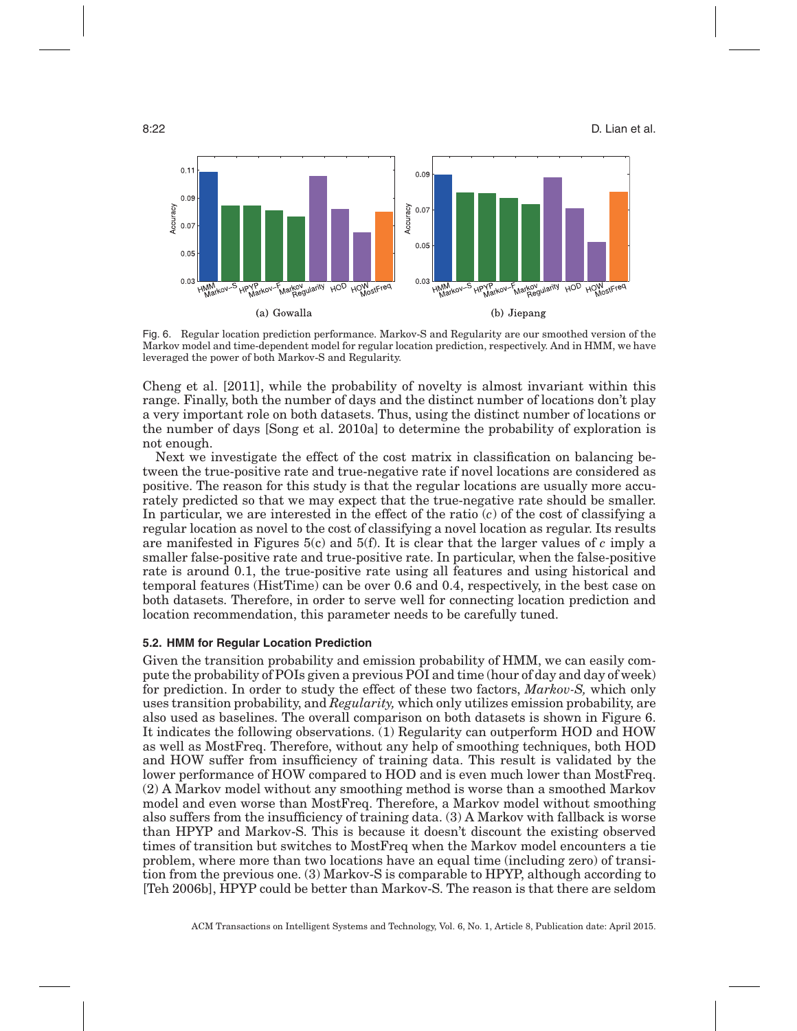8:22 D. Lian et al.

<span id="page-21-0"></span>

Fig. 6. Regular location prediction performance. Markov-S and Regularity are our smoothed version of the Markov model and time-dependent model for regular location prediction, respectively. And in HMM, we have leveraged the power of both Markov-S and Regularity.

Cheng et al. [\[2011\]](#page-25-13), while the probability of novelty is almost invariant within this range. Finally, both the number of days and the distinct number of locations don't play a very important role on both datasets. Thus, using the distinct number of locations or the number of days [Song et al. [2010a\]](#page-26-3) to determine the probability of exploration is not enough.

Next we investigate the effect of the cost matrix in classification on balancing between the true-positive rate and true-negative rate if novel locations are considered as positive. The reason for this study is that the regular locations are usually more accurately predicted so that we may expect that the true-negative rate should be smaller. In particular, we are interested in the effect of the ratio (*c*) of the cost of classifying a regular location as novel to the cost of classifying a novel location as regular. Its results are manifested in Figures [5\(](#page-20-0)c) and [5\(](#page-20-0)f). It is clear that the larger values of *c* imply a smaller false-positive rate and true-positive rate. In particular, when the false-positive rate is around 0.1, the true-positive rate using all features and using historical and temporal features (HistTime) can be over 0.6 and 0.4, respectively, in the best case on both datasets. Therefore, in order to serve well for connecting location prediction and location recommendation, this parameter needs to be carefully tuned.

#### **5.2. HMM for Regular Location Prediction**

Given the transition probability and emission probability of HMM, we can easily compute the probability of POIs given a previous POI and time (hour of day and day of week) for prediction. In order to study the effect of these two factors, *Markov-S,* which only uses transition probability, and *Regularity,* which only utilizes emission probability, are also used as baselines. The overall comparison on both datasets is shown in Figure [6.](#page-21-0) It indicates the following observations. (1) Regularity can outperform HOD and HOW as well as MostFreq. Therefore, without any help of smoothing techniques, both HOD and HOW suffer from insufficiency of training data. This result is validated by the lower performance of HOW compared to HOD and is even much lower than MostFreq. (2) A Markov model without any smoothing method is worse than a smoothed Markov model and even worse than MostFreq. Therefore, a Markov model without smoothing also suffers from the insufficiency of training data. (3) A Markov with fallback is worse than HPYP and Markov-S. This is because it doesn't discount the existing observed times of transition but switches to MostFreq when the Markov model encounters a tie problem, where more than two locations have an equal time (including zero) of transition from the previous one. (3) Markov-S is comparable to HPYP, although according to [Teh [2006b\]](#page-26-25), HPYP could be better than Markov-S. The reason is that there are seldom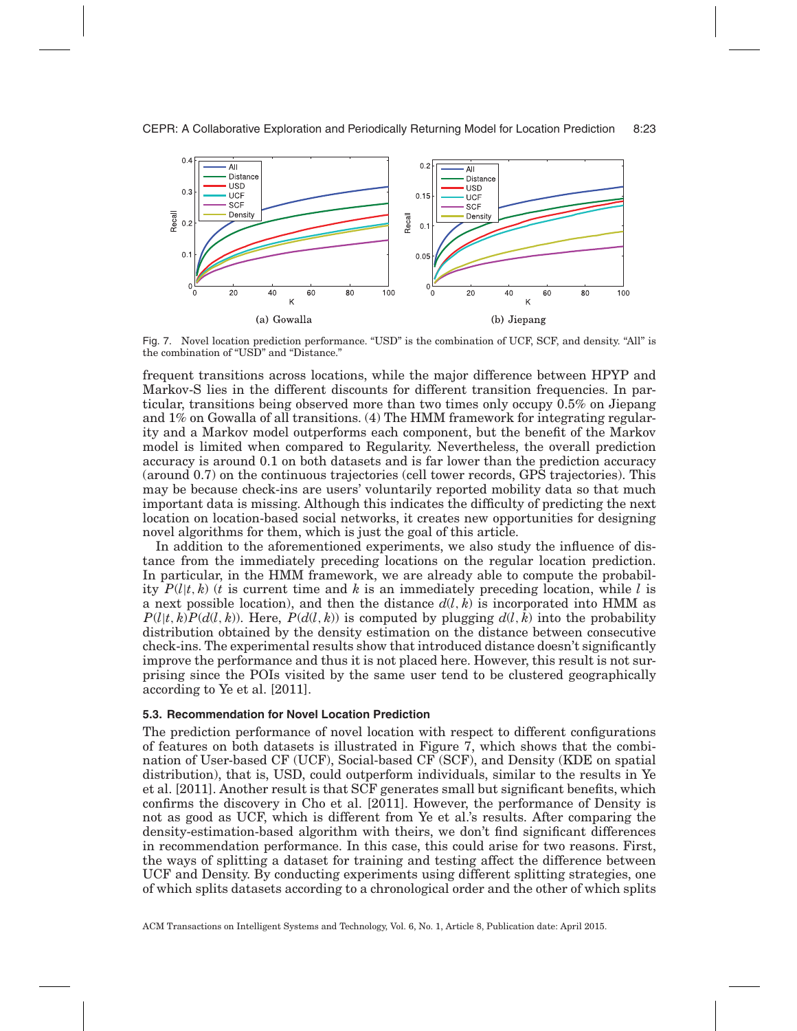<span id="page-22-0"></span>

Fig. 7. Novel location prediction performance. "USD" is the combination of UCF, SCF, and density. "All" is the combination of "USD" and "Distance."

frequent transitions across locations, while the major difference between HPYP and Markov-S lies in the different discounts for different transition frequencies. In particular, transitions being observed more than two times only occupy 0.5% on Jiepang and 1% on Gowalla of all transitions. (4) The HMM framework for integrating regularity and a Markov model outperforms each component, but the benefit of the Markov model is limited when compared to Regularity. Nevertheless, the overall prediction accuracy is around 0.1 on both datasets and is far lower than the prediction accuracy (around 0.7) on the continuous trajectories (cell tower records, GPS trajectories). This may be because check-ins are users' voluntarily reported mobility data so that much important data is missing. Although this indicates the difficulty of predicting the next location on location-based social networks, it creates new opportunities for designing novel algorithms for them, which is just the goal of this article.

In addition to the aforementioned experiments, we also study the influence of distance from the immediately preceding locations on the regular location prediction. In particular, in the HMM framework, we are already able to compute the probability  $P(l|t, k)$  (*t* is current time and *k* is an immediately preceding location, while *l* is a next possible location), and then the distance  $d(l, k)$  is incorporated into HMM as  $P(l|t, k)P(d(l, k))$ . Here,  $P(d(l, k))$  is computed by plugging  $d(l, k)$  into the probability distribution obtained by the density estimation on the distance between consecutive check-ins. The experimental results show that introduced distance doesn't significantly improve the performance and thus it is not placed here. However, this result is not surprising since the POIs visited by the same user tend to be clustered geographically according to Ye et al. [\[2011\]](#page-26-8).

#### **5.3. Recommendation for Novel Location Prediction**

The prediction performance of novel location with respect to different configurations of features on both datasets is illustrated in Figure [7,](#page-22-0) which shows that the combination of User-based CF (UCF), Social-based CF (SCF), and Density (KDE on spatial distribution), that is, USD, could outperform individuals, similar to the results in Ye et al. [\[2011\]](#page-26-8). Another result is that SCF generates small but significant benefits, which confirms the discovery in Cho et al. [\[2011\]](#page-25-1). However, the performance of Density is not as good as UCF, which is different from Ye et al.'s results. After comparing the density-estimation-based algorithm with theirs, we don't find significant differences in recommendation performance. In this case, this could arise for two reasons. First, the ways of splitting a dataset for training and testing affect the difference between UCF and Density. By conducting experiments using different splitting strategies, one of which splits datasets according to a chronological order and the other of which splits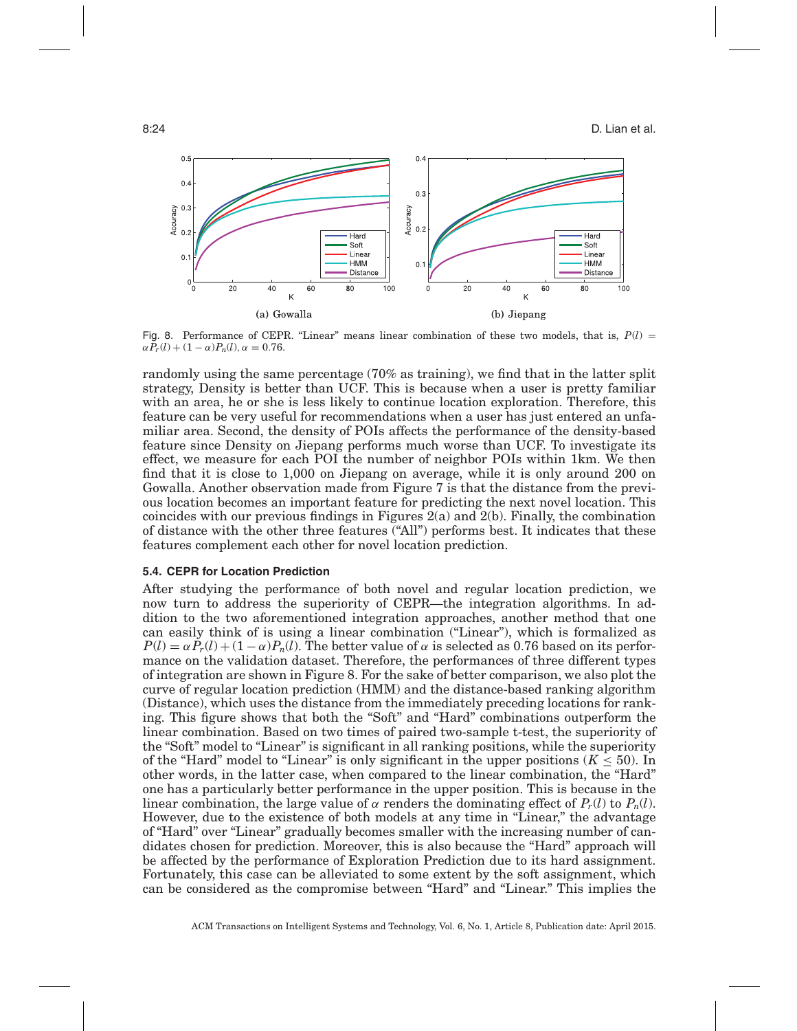<span id="page-23-0"></span>

Fig. 8. Performance of CEPR. "Linear" means linear combination of these two models, that is, *P*(*l*) =  $\alpha \bar{P}_r(l) + (1 - \alpha)P_n(l), \alpha = 0.76.$ 

randomly using the same percentage (70% as training), we find that in the latter split strategy, Density is better than UCF. This is because when a user is pretty familiar with an area, he or she is less likely to continue location exploration. Therefore, this feature can be very useful for recommendations when a user has just entered an unfamiliar area. Second, the density of POIs affects the performance of the density-based feature since Density on Jiepang performs much worse than UCF. To investigate its effect, we measure for each POI the number of neighbor POIs within 1km. We then find that it is close to 1,000 on Jiepang on average, while it is only around 200 on Gowalla. Another observation made from Figure [7](#page-22-0) is that the distance from the previous location becomes an important feature for predicting the next novel location. This coincides with our previous findings in Figures  $2(a)$  and  $2(b)$ . Finally, the combination of distance with the other three features ("All") performs best. It indicates that these features complement each other for novel location prediction.

### **5.4. CEPR for Location Prediction**

After studying the performance of both novel and regular location prediction, we now turn to address the superiority of CEPR—the integration algorithms. In addition to the two aforementioned integration approaches, another method that one can easily think of is using a linear combination ("Linear"), which is formalized as  $P(l) = \alpha P_r(l) + (1 - \alpha) P_n(l)$ . The better value of  $\alpha$  is selected as 0.76 based on its performance on the validation dataset. Therefore, the performances of three different types of integration are shown in Figure [8.](#page-23-0) For the sake of better comparison, we also plot the curve of regular location prediction (HMM) and the distance-based ranking algorithm (Distance), which uses the distance from the immediately preceding locations for ranking. This figure shows that both the "Soft" and "Hard" combinations outperform the linear combination. Based on two times of paired two-sample t-test, the superiority of the "Soft" model to "Linear" is significant in all ranking positions, while the superiority of the "Hard" model to "Linear" is only significant in the upper positions  $(K \le 50)$ . In other words, in the latter case, when compared to the linear combination, the "Hard" one has a particularly better performance in the upper position. This is because in the linear combination, the large value of  $\alpha$  renders the dominating effect of  $P_r(l)$  to  $P_n(l)$ . However, due to the existence of both models at any time in "Linear," the advantage of "Hard" over "Linear" gradually becomes smaller with the increasing number of candidates chosen for prediction. Moreover, this is also because the "Hard" approach will be affected by the performance of Exploration Prediction due to its hard assignment. Fortunately, this case can be alleviated to some extent by the soft assignment, which can be considered as the compromise between "Hard" and "Linear." This implies the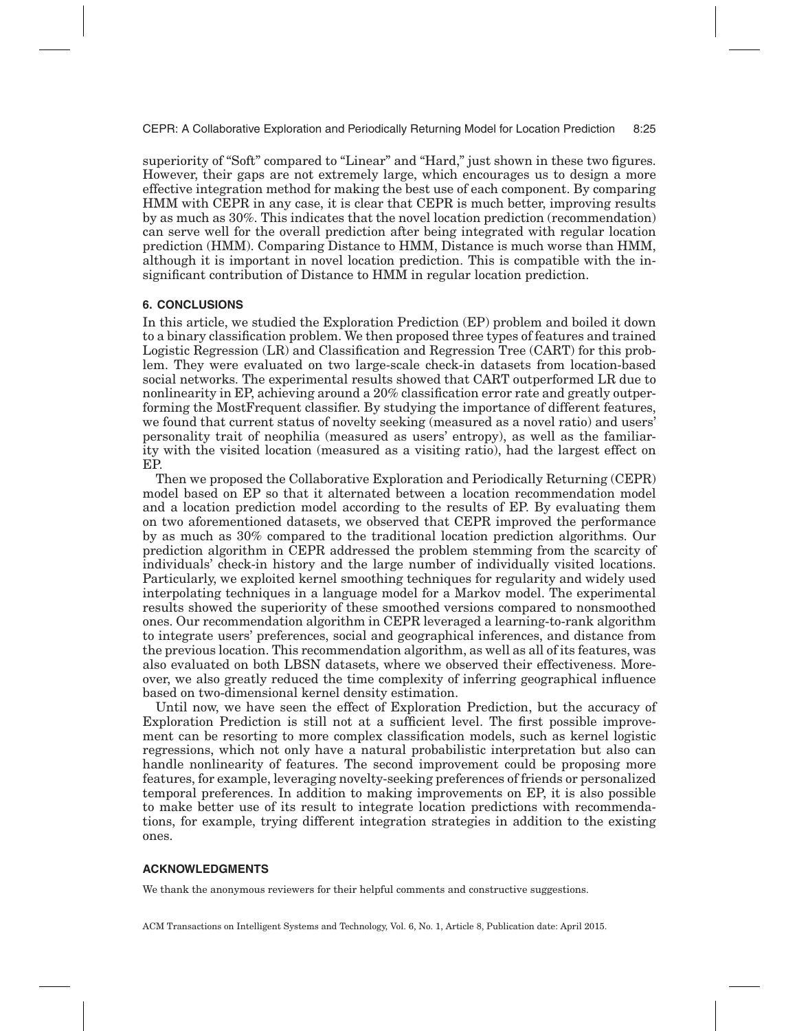superiority of "Soft" compared to "Linear" and "Hard," just shown in these two figures. However, their gaps are not extremely large, which encourages us to design a more effective integration method for making the best use of each component. By comparing HMM with CEPR in any case, it is clear that CEPR is much better, improving results by as much as 30%. This indicates that the novel location prediction (recommendation) can serve well for the overall prediction after being integrated with regular location prediction (HMM). Comparing Distance to HMM, Distance is much worse than HMM, although it is important in novel location prediction. This is compatible with the insignificant contribution of Distance to HMM in regular location prediction.

# **6. CONCLUSIONS**

<span id="page-24-0"></span>In this article, we studied the Exploration Prediction (EP) problem and boiled it down to a binary classification problem. We then proposed three types of features and trained Logistic Regression (LR) and Classification and Regression Tree (CART) for this problem. They were evaluated on two large-scale check-in datasets from location-based social networks. The experimental results showed that CART outperformed LR due to nonlinearity in EP, achieving around a 20% classification error rate and greatly outperforming the MostFrequent classifier. By studying the importance of different features, we found that current status of novelty seeking (measured as a novel ratio) and users' personality trait of neophilia (measured as users' entropy), as well as the familiarity with the visited location (measured as a visiting ratio), had the largest effect on EP.

Then we proposed the Collaborative Exploration and Periodically Returning (CEPR) model based on EP so that it alternated between a location recommendation model and a location prediction model according to the results of EP. By evaluating them on two aforementioned datasets, we observed that CEPR improved the performance by as much as 30% compared to the traditional location prediction algorithms. Our prediction algorithm in CEPR addressed the problem stemming from the scarcity of individuals' check-in history and the large number of individually visited locations. Particularly, we exploited kernel smoothing techniques for regularity and widely used interpolating techniques in a language model for a Markov model. The experimental results showed the superiority of these smoothed versions compared to nonsmoothed ones. Our recommendation algorithm in CEPR leveraged a learning-to-rank algorithm to integrate users' preferences, social and geographical inferences, and distance from the previous location. This recommendation algorithm, as well as all of its features, was also evaluated on both LBSN datasets, where we observed their effectiveness. Moreover, we also greatly reduced the time complexity of inferring geographical influence based on two-dimensional kernel density estimation.

Until now, we have seen the effect of Exploration Prediction, but the accuracy of Exploration Prediction is still not at a sufficient level. The first possible improvement can be resorting to more complex classification models, such as kernel logistic regressions, which not only have a natural probabilistic interpretation but also can handle nonlinearity of features. The second improvement could be proposing more features, for example, leveraging novelty-seeking preferences of friends or personalized temporal preferences. In addition to making improvements on EP, it is also possible to make better use of its result to integrate location predictions with recommendations, for example, trying different integration strategies in addition to the existing ones.

### **ACKNOWLEDGMENTS**

We thank the anonymous reviewers for their helpful comments and constructive suggestions.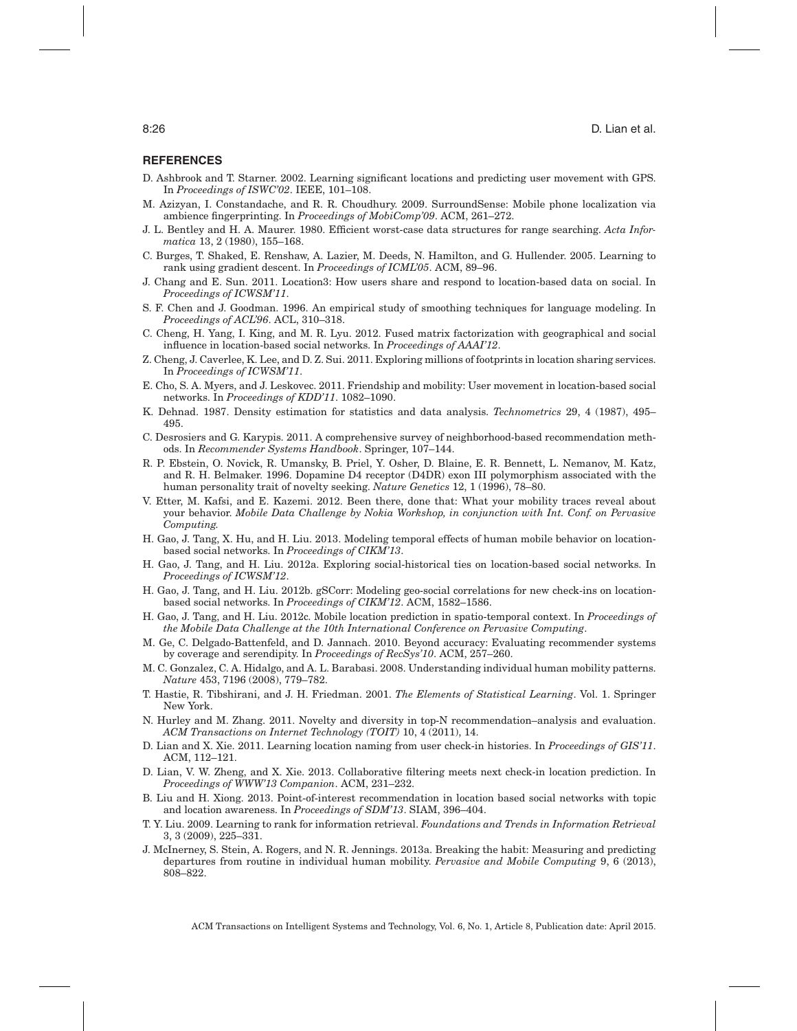#### **REFERENCES**

- <span id="page-25-0"></span>D. Ashbrook and T. Starner. 2002. Learning significant locations and predicting user movement with GPS. In *Proceedings of ISWC'02*. IEEE, 101–108.
- <span id="page-25-20"></span>M. Azizyan, I. Constandache, and R. R. Choudhury. 2009. SurroundSense: Mobile phone localization via ambience fingerprinting. In *Proceedings of MobiComp'09*. ACM, 261–272.
- <span id="page-25-24"></span>J. L. Bentley and H. A. Maurer. 1980. Efficient worst-case data structures for range searching. *Acta Informatica* 13, 2 (1980), 155–168.
- <span id="page-25-9"></span>C. Burges, T. Shaked, E. Renshaw, A. Lazier, M. Deeds, N. Hamilton, and G. Hullender. 2005. Learning to rank using gradient descent. In *Proceedings of ICML'05*. ACM, 89–96.
- <span id="page-25-2"></span>J. Chang and E. Sun. 2011. Location3: How users share and respond to location-based data on social. In *Proceedings of ICWSM'11*.
- <span id="page-25-22"></span>S. F. Chen and J. Goodman. 1996. An empirical study of smoothing techniques for language modeling. In *Proceedings of ACL'96*. ACL, 310–318.
- <span id="page-25-7"></span>C. Cheng, H. Yang, I. King, and M. R. Lyu. 2012. Fused matrix factorization with geographical and social influence in location-based social networks. In *Proceedings of AAAI'12*.
- <span id="page-25-13"></span>Z. Cheng, J. Caverlee, K. Lee, and D. Z. Sui. 2011. Exploring millions of footprints in location sharing services. In *Proceedings of ICWSM'11*.
- <span id="page-25-1"></span>E. Cho, S. A. Myers, and J. Leskovec. 2011. Friendship and mobility: User movement in location-based social networks. In *Proceedings of KDD'11*. 1082–1090.
- <span id="page-25-21"></span>K. Dehnad. 1987. Density estimation for statistics and data analysis. *Technometrics* 29, 4 (1987), 495– 495.
- <span id="page-25-23"></span>C. Desrosiers and G. Karypis. 2011. A comprehensive survey of neighborhood-based recommendation methods. In *Recommender Systems Handbook*. Springer, 107–144.
- <span id="page-25-5"></span>R. P. Ebstein, O. Novick, R. Umansky, B. Priel, Y. Osher, D. Blaine, E. R. Bennett, L. Nemanov, M. Katz, and R. H. Belmaker. 1996. Dopamine D4 receptor (D4DR) exon III polymorphism associated with the human personality trait of novelty seeking. *Nature Genetics* 12, 1 (1996), 78–80.
- <span id="page-25-3"></span>V. Etter, M. Kafsi, and E. Kazemi. 2012. Been there, done that: What your mobility traces reveal about your behavior. *Mobile Data Challenge by Nokia Workshop, in conjunction with Int. Conf. on Pervasive Computing.*
- <span id="page-25-12"></span>H. Gao, J. Tang, X. Hu, and H. Liu. 2013. Modeling temporal effects of human mobile behavior on locationbased social networks. In *Proceedings of CIKM'13*.
- <span id="page-25-4"></span>H. Gao, J. Tang, and H. Liu. 2012a. Exploring social-historical ties on location-based social networks. In *Proceedings of ICWSM'12*.
- <span id="page-25-6"></span>H. Gao, J. Tang, and H. Liu. 2012b. gSCorr: Modeling geo-social correlations for new check-ins on locationbased social networks. In *Proceedings of CIKM'12*. ACM, 1582–1586.
- <span id="page-25-18"></span>H. Gao, J. Tang, and H. Liu. 2012c. Mobile location prediction in spatio-temporal context. In *Proceedings of the Mobile Data Challenge at the 10th International Conference on Pervasive Computing*.
- <span id="page-25-16"></span>M. Ge, C. Delgado-Battenfeld, and D. Jannach. 2010. Beyond accuracy: Evaluating recommender systems by coverage and serendipity. In *Proceedings of RecSys'10*. ACM, 257–260.
- <span id="page-25-11"></span>M. C. Gonzalez, C. A. Hidalgo, and A. L. Barabasi. 2008. Understanding individual human mobility patterns. *Nature* 453, 7196 (2008), 779–782.
- <span id="page-25-25"></span>T. Hastie, R. Tibshirani, and J. H. Friedman. 2001. *The Elements of Statistical Learning*. Vol. 1. Springer New York.
- <span id="page-25-15"></span>N. Hurley and M. Zhang. 2011. Novelty and diversity in top-N recommendation–analysis and evaluation. *ACM Transactions on Internet Technology (TOIT)* 10, 4 (2011), 14.
- <span id="page-25-19"></span>D. Lian and X. Xie. 2011. Learning location naming from user check-in histories. In *Proceedings of GIS'11*. ACM, 112–121.
- <span id="page-25-8"></span>D. Lian, V. W. Zheng, and X. Xie. 2013. Collaborative filtering meets next check-in location prediction. In *Proceedings of WWW'13 Companion*. ACM, 231–232.
- <span id="page-25-14"></span>B. Liu and H. Xiong. 2013. Point-of-interest recommendation in location based social networks with topic and location awareness. In *Proceedings of SDM'13*. SIAM, 396–404.
- <span id="page-25-10"></span>T. Y. Liu. 2009. Learning to rank for information retrieval. *Foundations and Trends in Information Retrieval* 3, 3 (2009), 225–331.
- <span id="page-25-17"></span>J. McInerney, S. Stein, A. Rogers, and N. R. Jennings. 2013a. Breaking the habit: Measuring and predicting departures from routine in individual human mobility. *Pervasive and Mobile Computing* 9, 6 (2013), 808–822.